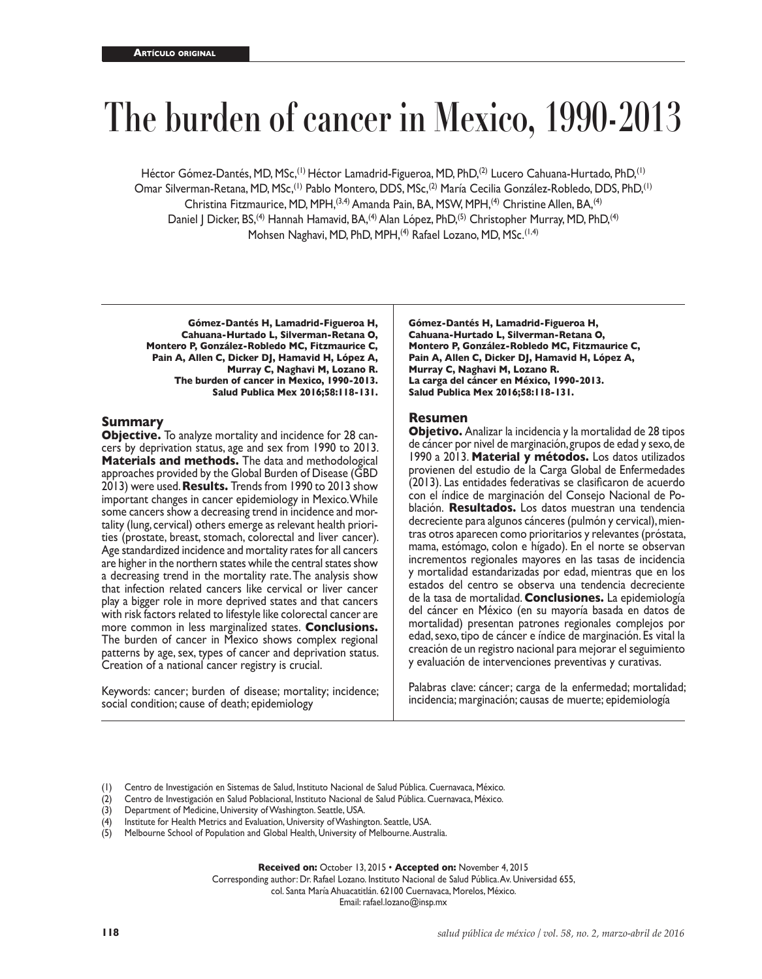# **The burden of cancer in Mexico, 1990-2013**

Héctor Gómez-Dantés, MD, MSc,(1) Héctor Lamadrid-Figueroa, MD, PhD,(2) Lucero Cahuana-Hurtado, PhD,(1) Omar Silverman-Retana, MD, MSc,(1) Pablo Montero, DDS, MSc,(2) María Cecilia González-Robledo, DDS, PhD,(1) Christina Fitzmaurice, MD, MPH, <sup>(3,4)</sup> Amanda Pain, BA, MSW, MPH, <sup>(4)</sup> Christine Allen, BA, <sup>(4)</sup> Daniel J Dicker, BS,<sup>(4)</sup> Hannah Hamavid, BA,<sup>(4)</sup> Alan López, PhD,<sup>(5)</sup> Christopher Murray, MD, PhD,<sup>(4)</sup> Mohsen Naghavi, MD, PhD, MPH, <sup>(4)</sup> Rafael Lozano, MD, MSc.<sup>(1,4)</sup>

**Gómez-Dantés H, Lamadrid-Figueroa H, Cahuana-Hurtado L, Silverman-Retana O, Montero P, González-Robledo MC, Fitzmaurice C, Pain A, Allen C, Dicker DJ, Hamavid H, López A, Murray C, Naghavi M, Lozano R. The burden of cancer in Mexico, 1990-2013. Salud Publica Mex 2016;58:118-131.**

### **Summary**

**Objective.** To analyze mortality and incidence for 28 cancers by deprivation status, age and sex from 1990 to 2013. **Materials and methods.** The data and methodological approaches provided by the Global Burden of Disease (GBD 2013) were used. **Results.** Trends from 1990 to 2013 show important changes in cancer epidemiology in Mexico. While some cancers show a decreasing trend in incidence and mor tality (lung, cervical) others emerge as relevant health priori ties (prostate, breast, stomach, colorectal and liver cancer). Age standardized incidence and mortality rates for all cancers are higher in the northern states while the central states show a decreasing trend in the mortality rate. The analysis show that infection related cancers like cervical or liver cancer play a bigger role in more deprived states and that cancers with risk factors related to lifestyle like colorectal cancer are more common in less marginalized states. **Conclusions.**  The burden of cancer in Mexico shows complex regional patterns by age, sex, types of cancer and deprivation status. Creation of a national cancer registry is crucial.

Keywords: cancer; burden of disease; mortality; incidence; social condition; cause of death; epidemiology

**Gómez-Dantés H, Lamadrid-Figueroa H, Cahuana-Hurtado L, Silverman-Retana O, Montero P, González-Robledo MC, Fitzmaurice C, Pain A, Allen C, Dicker DJ, Hamavid H, López A, Murray C, Naghavi M, Lozano R. La carga del cáncer en México, 1990-2013. Salud Publica Mex 2016;58:118-131.**

## **Resumen**

**Objetivo.** Analizar la incidencia y la mortalidad de 28 tipos de cáncer por nivel de marginación, grupos de edad y sexo, de 1990 a 2013. **Material y métodos.** Los datos utilizados provienen del estudio de la Carga Global de Enfermedades (2013). Las entidades federativas se clasificaron de acuerdo con el índice de marginación del Consejo Nacional de Po blación. **Resultados.** Los datos muestran una tendencia decreciente para algunos cánceres (pulmón y cervical), mien tras otros aparecen como prioritarios y relevantes (próstata, mama, estómago, colon e hígado). En el norte se observan incrementos regionales mayores en las tasas de incidencia y mortalidad estandarizadas por edad, mientras que en los estados del centro se observa una tendencia decreciente de la tasa de mortalidad. **Conclusiones.** La epidemiología del cáncer en México (en su mayoría basada en datos de mortalidad) presentan patrones regionales complejos por edad, sexo, tipo de cáncer e índice de marginación. Es vital la creación de un registro nacional para mejorar el seguimiento y evaluación de intervenciones preventivas y curativas.

Palabras clave: cáncer; carga de la enfermedad; mortalidad; incidencia; marginación; causas de muerte; epidemiología

(1) Centro de Investigación en Sistemas de Salud, Instituto Nacional de Salud Pública. Cuernavaca, México.

(2) Centro de Investigación en Salud Poblacional, Instituto Nacional de Salud Pública. Cuernavaca, México.

- (3) Department of Medicine, University of Washington. Seattle, USA.
- (4) Institute for Health Metrics and Evaluation, University of Washington. Seattle, USA.
- (5) Melbourne School of Population and Global Health, University of Melbourne. Australia.

**Received on:** October 13, 2015 • **Accepted on:** November 4, 2015

Corresponding author: Dr. Rafael Lozano. Instituto Nacional de Salud Pública. Av. Universidad 655,

col. Santa María Ahuacatitlán. 62100 Cuernavaca, Morelos, México.

Email: rafael.lozano@insp.mx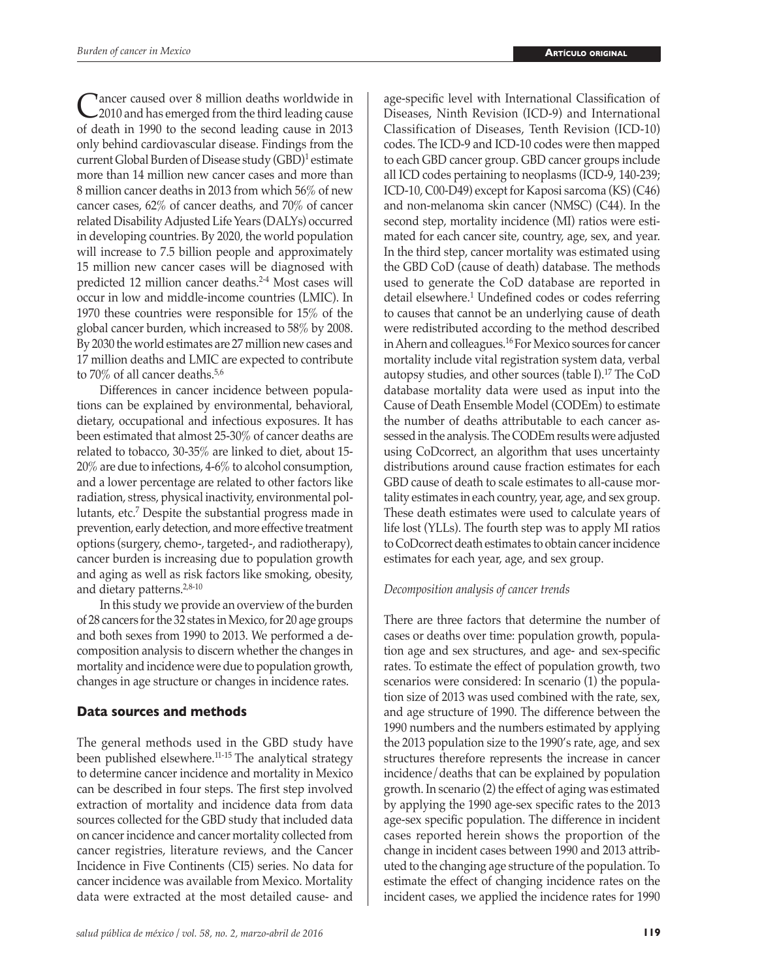C<sup>r</sup>ancer caused over 8 million deaths worldwide in<br>
2010 and has emerged from the third leading cause of death in 1990 to the second leading cause in 2013 only behind cardiovascular disease. Findings from the current Global Burden of Disease study (GBD)<sup>1</sup> estimate more than 14 million new cancer cases and more than 8 million cancer deaths in 2013 from which 56% of new cancer cases, 62% of cancer deaths, and 70% of cancer related Disability Adjusted Life Years (DALYs) occurred in developing countries. By 2020, the world population will increase to 7.5 billion people and approximately 15 million new cancer cases will be diagnosed with predicted 12 million cancer deaths.2-4 Most cases will occur in low and middle-income countries (LMIC). In 1970 these countries were responsible for 15% of the global cancer burden, which increased to 58% by 2008. By 2030 the world estimates are 27 million new cases and 17 million deaths and LMIC are expected to contribute to 70% of all cancer deaths.<sup>5,6</sup>

Differences in cancer incidence between populations can be explained by environmental, behavioral, dietary, occupational and infectious exposures. It has been estimated that almost 25-30% of cancer deaths are related to tobacco, 30-35% are linked to diet, about 15- 20% are due to infections, 4-6% to alcohol consumption, and a lower percentage are related to other factors like radiation, stress, physical inactivity, environmental pollutants, etc.<sup>7</sup> Despite the substantial progress made in prevention, early detection, and more effective treatment options (surgery, chemo-, targeted-, and radiotherapy), cancer burden is increasing due to population growth and aging as well as risk factors like smoking, obesity, and dietary patterns.2,8-10

In this study we provide an overview of the burden of 28 cancers for the 32 states in Mexico, for 20 age groups and both sexes from 1990 to 2013. We performed a decomposition analysis to discern whether the changes in mortality and incidence were due to population growth, changes in age structure or changes in incidence rates.

## **Data sources and methods**

The general methods used in the GBD study have been published elsewhere.11-15 The analytical strategy to determine cancer incidence and mortality in Mexico can be described in four steps. The first step involved extraction of mortality and incidence data from data sources collected for the GBD study that included data on cancer incidence and cancer mortality collected from cancer registries, literature reviews, and the Cancer Incidence in Five Continents (CI5) series. No data for cancer incidence was available from Mexico. Mortality data were extracted at the most detailed cause- and

age-specific level with International Classification of Diseases, Ninth Revision (ICD-9) and International Classification of Diseases, Tenth Revision (ICD-10) codes. The ICD-9 and ICD-10 codes were then mapped to each GBD cancer group. GBD cancer groups include all ICD codes pertaining to neoplasms (ICD-9, 140-239; ICD-10, C00-D49) except for Kaposi sarcoma (KS) (C46) and non-melanoma skin cancer (NMSC) (C44). In the second step, mortality incidence (MI) ratios were estimated for each cancer site, country, age, sex, and year. In the third step, cancer mortality was estimated using the GBD CoD (cause of death) database. The methods used to generate the CoD database are reported in detail elsewhere.<sup>1</sup> Undefined codes or codes referring to causes that cannot be an underlying cause of death were redistributed according to the method described in Ahern and colleagues.16 For Mexico sources for cancer mortality include vital registration system data, verbal autopsy studies, and other sources (table I).17 The CoD database mortality data were used as input into the Cause of Death Ensemble Model (CODEm) to estimate the number of deaths attributable to each cancer assessed in the analysis. The CODEm results were adjusted using CoDcorrect, an algorithm that uses uncertainty distributions around cause fraction estimates for each GBD cause of death to scale estimates to all-cause mortality estimates in each country, year, age, and sex group. These death estimates were used to calculate years of life lost (YLLs). The fourth step was to apply MI ratios to CoDcorrect death estimates to obtain cancer incidence estimates for each year, age, and sex group.

## *Decomposition analysis of cancer trends*

There are three factors that determine the number of cases or deaths over time: population growth, population age and sex structures, and age- and sex-specific rates. To estimate the effect of population growth, two scenarios were considered: In scenario (1) the population size of 2013 was used combined with the rate, sex, and age structure of 1990. The difference between the 1990 numbers and the numbers estimated by applying the 2013 population size to the 1990's rate, age, and sex structures therefore represents the increase in cancer incidence/deaths that can be explained by population growth. In scenario (2) the effect of aging was estimated by applying the 1990 age-sex specific rates to the 2013 age-sex specific population. The difference in incident cases reported herein shows the proportion of the change in incident cases between 1990 and 2013 attributed to the changing age structure of the population. To estimate the effect of changing incidence rates on the incident cases, we applied the incidence rates for 1990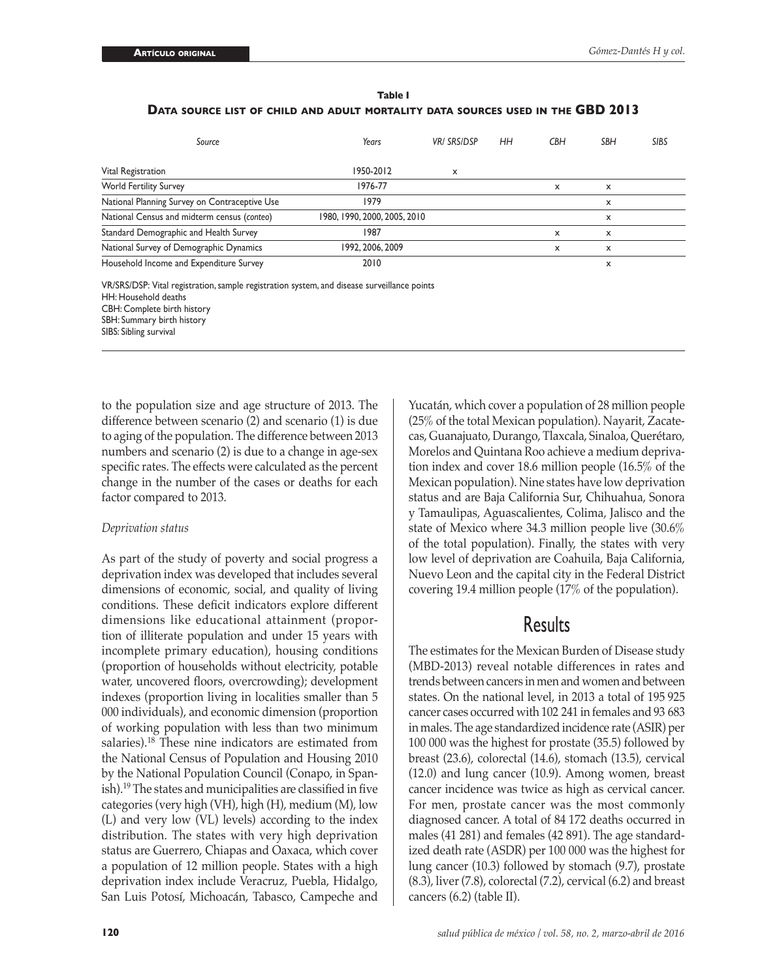|                                                                                 | Table I |  |
|---------------------------------------------------------------------------------|---------|--|
| DATA SOURCE LIST OF CHILD AND ADULT MORTALITY DATA SOURCES USED IN THE GBD 2013 |         |  |

| Source                                        | Years                        | <b>VRI SRSIDSP</b> | HН | <b>CBH</b> | <b>SBH</b> | <b>SIBS</b> |
|-----------------------------------------------|------------------------------|--------------------|----|------------|------------|-------------|
| Vital Registration                            | 1950-2012                    | X                  |    |            |            |             |
| <b>World Fertility Survey</b>                 | 1976-77                      |                    |    | X          | x          |             |
| National Planning Survey on Contraceptive Use | 1979                         |                    |    |            | x          |             |
| National Census and midterm census (conteo)   | 1980, 1990, 2000, 2005, 2010 |                    |    |            | x          |             |
| Standard Demographic and Health Survey        | 1987                         |                    |    | X          | x          |             |
| National Survey of Demographic Dynamics       | 1992, 2006, 2009             |                    |    | X          | x          |             |
| Household Income and Expenditure Survey       | 2010                         |                    |    |            | x          |             |

VR/SRS/DSP: Vital registration, sample registration system, and disease surveillance points HH: Household deaths CBH: Complete birth history SBH: Summary birth history SIBS: Sibling survival

to the population size and age structure of 2013. The difference between scenario (2) and scenario (1) is due to aging of the population. The difference between 2013 numbers and scenario (2) is due to a change in age-sex specific rates. The effects were calculated as the percent change in the number of the cases or deaths for each factor compared to 2013.

### *Deprivation status*

As part of the study of poverty and social progress a deprivation index was developed that includes several dimensions of economic, social, and quality of living conditions. These deficit indicators explore different dimensions like educational attainment (proportion of illiterate population and under 15 years with incomplete primary education), housing conditions (proportion of households without electricity, potable water, uncovered floors, overcrowding); development indexes (proportion living in localities smaller than 5 000 individuals), and economic dimension (proportion of working population with less than two minimum salaries).18 These nine indicators are estimated from the National Census of Population and Housing 2010 by the National Population Council (Conapo, in Spanish).19 The states and municipalities are classified in five categories (very high (VH), high (H), medium (M), low (L) and very low (VL) levels) according to the index distribution. The states with very high deprivation status are Guerrero, Chiapas and Oaxaca, which cover a population of 12 million people. States with a high deprivation index include Veracruz, Puebla, Hidalgo, San Luis Potosí, Michoacán, Tabasco, Campeche and

(25% of the total Mexican population). Nayarit, Zacatecas, Guanajuato, Durango, Tlaxcala, Sinaloa, Querétaro, Morelos and Quintana Roo achieve a medium deprivation index and cover 18.6 million people (16.5% of the Mexican population). Nine states have low deprivation status and are Baja California Sur, Chihuahua, Sonora y Tamaulipas, Aguascalientes, Colima, Jalisco and the state of Mexico where 34.3 million people live (30.6% of the total population). Finally, the states with very low level of deprivation are Coahuila, Baja California, Nuevo Leon and the capital city in the Federal District covering 19.4 million people (17% of the population).

Yucatán, which cover a population of 28 million people

# Results

The estimates for the Mexican Burden of Disease study (MBD-2013) reveal notable differences in rates and trends between cancers in men and women and between states. On the national level, in 2013 a total of 195 925 cancer cases occurred with 102 241 in females and 93 683 in males. The age standardized incidence rate (ASIR) per 100 000 was the highest for prostate (35.5) followed by breast (23.6), colorectal (14.6), stomach (13.5), cervical (12.0) and lung cancer (10.9). Among women, breast cancer incidence was twice as high as cervical cancer. For men, prostate cancer was the most commonly diagnosed cancer. A total of 84 172 deaths occurred in males (41 281) and females (42 891). The age standardized death rate (ASDR) per 100 000 was the highest for lung cancer (10.3) followed by stomach (9.7), prostate (8.3), liver (7.8), colorectal (7.2), cervical (6.2) and breast cancers (6.2) (table II).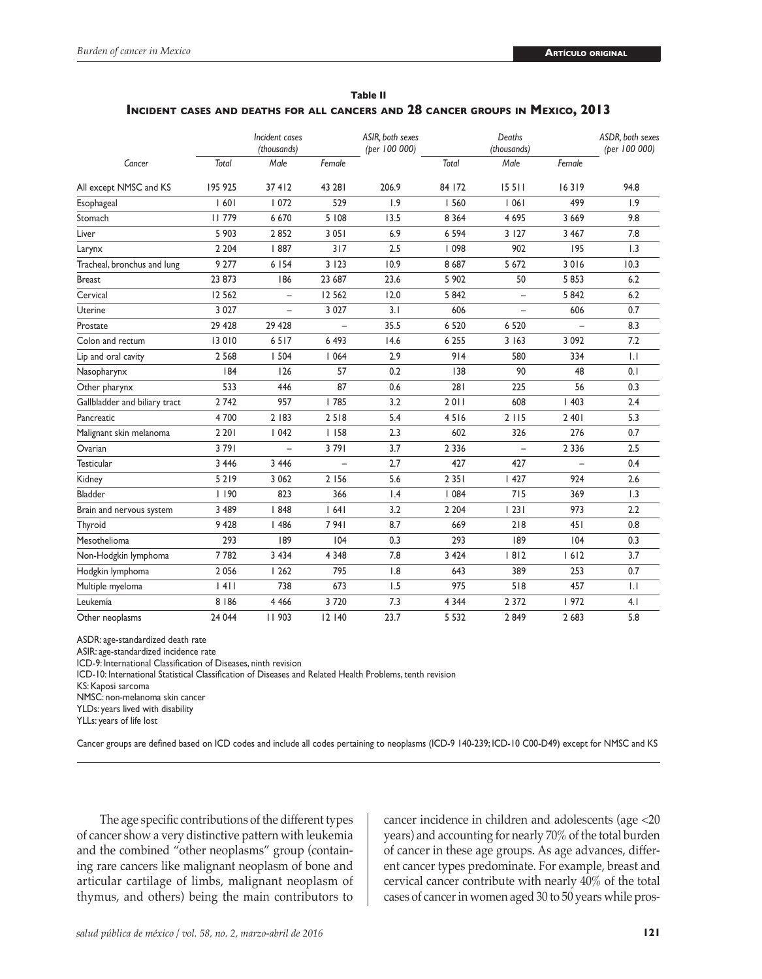| Table II                                                                       |  |
|--------------------------------------------------------------------------------|--|
| INCIDENT CASES AND DEATHS FOR ALL CANCERS AND 28 CANCER GROUPS IN MEXICO, 2013 |  |

|                               |          | Incident cases<br>(thousands) |         | ASIR, both sexes<br>(per 100 000) |         | Deaths<br>(thousands)    |         | ASDR, both sexes<br>(per 100 000) |
|-------------------------------|----------|-------------------------------|---------|-----------------------------------|---------|--------------------------|---------|-----------------------------------|
| Cancer                        | Total    | Male                          | Female  |                                   | Total   | Male                     | Female  |                                   |
| All except NMSC and KS        | 195 925  | 37412                         | 43 28 1 | 206.9                             | 84 172  | 15511                    | 16319   | 94.8                              |
| Esophageal                    | 1601     | 1072                          | 529     | 1.9                               | 560     | 1061                     | 499     | 1.9                               |
| Stomach                       | 11779    | 6 6 7 0                       | 5 108   | 13.5                              | 8 3 6 4 | 4 6 9 5                  | 3 6 6 9 | 9.8                               |
| Liver                         | 5 9 0 3  | 2852                          | 3051    | 6.9                               | 6 5 9 4 | 3 1 2 7                  | 3 4 6 7 | 7.8                               |
| Larynx                        | 2 2 0 4  | 887                           | 317     | 2.5                               | 098     | 902                      | 195     | 1.3                               |
| Tracheal, bronchus and lung   | 9 2 7 7  | 6 154                         | 3123    | 10.9                              | 8 6 8 7 | 5 6 7 2                  | 3016    | 10.3                              |
| <b>Breast</b>                 | 23 873   | 186                           | 23 687  | 23.6                              | 5 902   | 50                       | 5853    | 6.2                               |
| Cervical                      | 12 5 6 2 |                               | 12 5 62 | 12.0                              | 5842    | $\overline{\phantom{0}}$ | 5842    | 6.2                               |
| Uterine                       | 3 0 2 7  | $\overline{\phantom{0}}$      | 3 0 2 7 | 3.1                               | 606     | $\overline{\phantom{0}}$ | 606     | 0.7                               |
| Prostate                      | 29 4 28  | 29 4 28                       |         | 35.5                              | 6 5 20  | 6 5 20                   |         | 8.3                               |
| Colon and rectum              | 13 010   | 6517                          | 6 4 9 3 | 14.6                              | 6 2 5 5 | 3 1 6 3                  | 3 0 9 2 | 7.2                               |
| Lip and oral cavity           | 2 5 6 8  | 1504                          | 1064    | 2.9                               | 914     | 580                      | 334     | $  \cdot  $                       |
| Nasopharynx                   | 184      | 126                           | 57      | 0.2                               | 138     | 90                       | 48      | 0.1                               |
| Other pharynx                 | 533      | 446                           | 87      | 0.6                               | 281     | 225                      | 56      | 0.3                               |
| Gallbladder and biliary tract | 2742     | 957                           | 785     | 3.2                               | 2011    | 608                      | 1403    | 2.4                               |
| Pancreatic                    | 4700     | 2   83                        | 2518    | 5.4                               | 4516    | 2115                     | 2 4 0 1 | 5.3                               |
| Malignant skin melanoma       | 2 2 0 1  | 1042                          | 1158    | 2.3                               | 602     | 326                      | 276     | 0.7                               |
| Ovarian                       | 3791     | $\overline{\phantom{0}}$      | 3791    | 3.7                               | 2 3 3 6 | $\equiv$                 | 2 3 3 6 | 2.5                               |
| <b>Testicular</b>             | 3 4 4 6  | 3 4 4 6                       |         | 2.7                               | 427     | 427                      |         | 0.4                               |
| Kidney                        | 5219     | 3 0 6 2                       | 2 1 5 6 | 5.6                               | 2 3 5 1 | 1427                     | 924     | 2.6                               |
| <b>Bladder</b>                | 1190     | 823                           | 366     | 1.4                               | 1084    | 715                      | 369     | 1.3                               |
| Brain and nervous system      | 3 4 8 9  | 848                           | 64      | 3.2                               | 2 2 0 4 | 23                       | 973     | 2.2                               |
| Thyroid                       | 9 4 28   | 1486                          | 7941    | 8.7                               | 669     | 218                      | 451     | 0.8                               |
| Mesothelioma                  | 293      | 189                           | 104     | 0.3                               | 293     | 189                      | 104     | 0.3                               |
| Non-Hodgkin lymphoma          | 7782     | 3 4 3 4                       | 4 3 4 8 | 7.8                               | 3 4 2 4 | 8 2                      | 1612    | 3.7                               |
| Hodgkin lymphoma              | 2 0 5 6  | 1262                          | 795     | 1.8                               | 643     | 389                      | 253     | 0.7                               |
| Multiple myeloma              | 4        | 738                           | 673     | 1.5                               | 975     | 518                      | 457     | $  \cdot  $                       |
| Leukemia                      | 8   86   | 4 4 6 6                       | 3720    | 7.3                               | 4 3 4 4 | 2 3 7 2                  | 972     | 4.1                               |
| Other neoplasms               | 24 044   | 11903                         | 12 140  | 23.7                              | 5 5 3 2 | 2849                     | 2 6 8 3 | 5.8                               |

ASDR: age-standardized death rate

ASIR: age-standardized incidence rate

ICD-9: International Classification of Diseases, ninth revision

ICD-10: International Statistical Classification of Diseases and Related Health Problems, tenth revision

KS: Kaposi sarcoma

NMSC: non-melanoma skin cancer

YLDs: years lived with disability

YLLs: years of life lost

Cancer groups are defined based on ICD codes and include all codes pertaining to neoplasms (ICD-9 140-239; ICD-10 C00-D49) except for NMSC and KS

The age specific contributions of the different types of cancer show a very distinctive pattern with leukemia and the combined "other neoplasms" group (containing rare cancers like malignant neoplasm of bone and articular cartilage of limbs, malignant neoplasm of thymus, and others) being the main contributors to

cancer incidence in children and adolescents (age <20 years) and accounting for nearly 70% of the total burden of cancer in these age groups. As age advances, different cancer types predominate. For example, breast and cervical cancer contribute with nearly 40% of the total cases of cancer in women aged 30 to 50 years while pros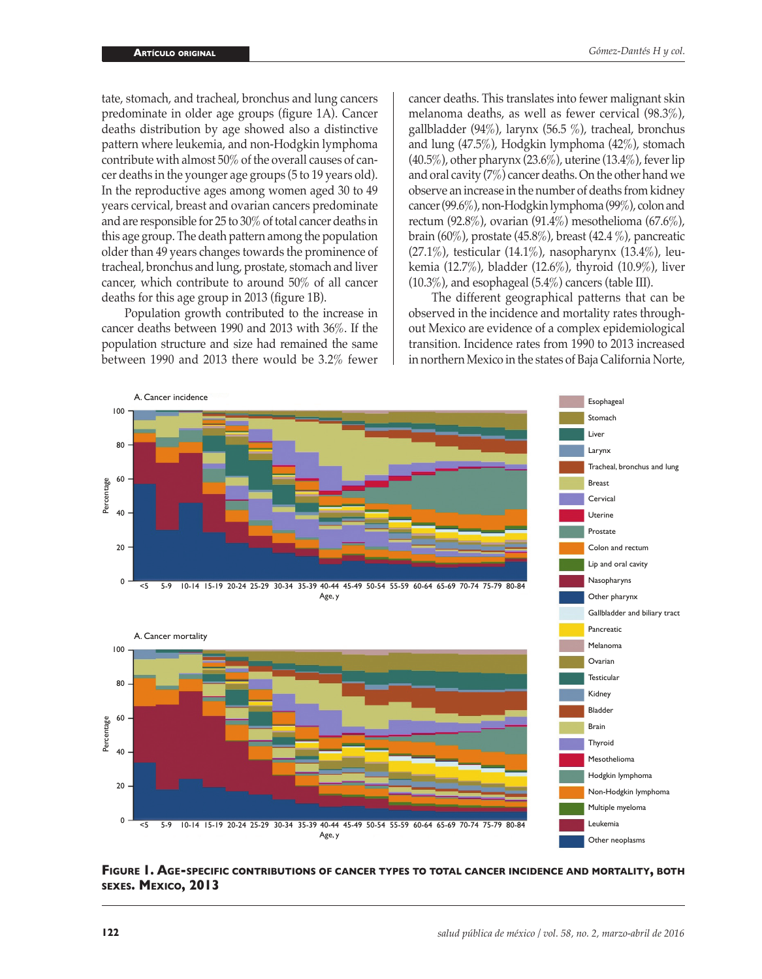tate, stomach, and tracheal, bronchus and lung cancers predominate in older age groups (figure 1A). Cancer deaths distribution by age showed also a distinctive pattern where leukemia, and non-Hodgkin lymphoma contribute with almost 50% of the overall causes of cancer deaths in the younger age groups (5 to 19 years old). In the reproductive ages among women aged 30 to 49 years cervical, breast and ovarian cancers predominate and are responsible for 25 to 30% of total cancer deaths in this age group. The death pattern among the population older than 49 years changes towards the prominence of tracheal, bronchus and lung, prostate, stomach and liver cancer, which contribute to around 50% of all cancer deaths for this age group in 2013 (figure 1B).

Population growth contributed to the increase in cancer deaths between 1990 and 2013 with 36%. If the population structure and size had remained the same between 1990 and 2013 there would be 3.2% fewer

cancer deaths. This translates into fewer malignant skin melanoma deaths, as well as fewer cervical (98.3%), gallbladder (94%), larynx (56.5 %), tracheal, bronchus and lung (47.5%), Hodgkin lymphoma (42%), stomach (40.5%), other pharynx (23.6%), uterine (13.4%), fever lip and oral cavity (7%) cancer deaths. On the other hand we observe an increase in the number of deaths from kidney cancer (99.6%), non-Hodgkin lymphoma (99%), colon and rectum (92.8%), ovarian (91.4%) mesothelioma (67.6%), brain (60%), prostate (45.8%), breast (42.4 %), pancreatic (27.1%), testicular (14.1%), nasopharynx (13.4%), leukemia (12.7%), bladder (12.6%), thyroid (10.9%), liver (10.3%), and esophageal (5.4%) cancers (table III).

The different geographical patterns that can be observed in the incidence and mortality rates throughout Mexico are evidence of a complex epidemiological transition. Incidence rates from 1990 to 2013 increased in northern Mexico in the states of Baja California Norte,



**Figure 1. Age-specific contributions of cancer types to total cancer incidence and mortality, both sexes. Mexico, 2013**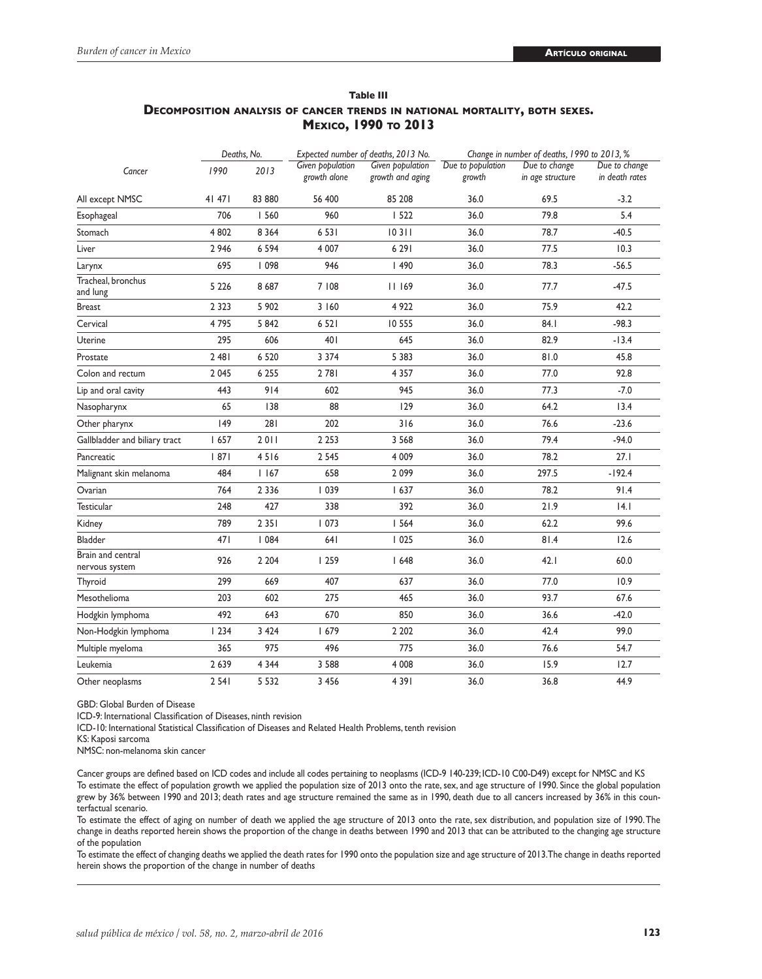|                                     |         | Deaths, No. |                                  | Expected number of deaths, 2013 No.  | Change in number of deaths, 1990 to 2013, % |                                   |                                 |  |  |  |  |
|-------------------------------------|---------|-------------|----------------------------------|--------------------------------------|---------------------------------------------|-----------------------------------|---------------------------------|--|--|--|--|
| Cancer                              | 1990    | 2013        | Given population<br>growth alone | Given population<br>growth and aging | Due to population<br>growth                 | Due to change<br>in age structure | Due to change<br>in death rates |  |  |  |  |
| All except NMSC                     | 41 471  | 83 880      | 56 400                           | 85 208                               | 36.0                                        | 69.5                              | $-3.2$                          |  |  |  |  |
| Esophageal                          | 706     | 560         | 960                              | 1522                                 | 36.0                                        | 79.8                              | 5.4                             |  |  |  |  |
| Stomach                             | 4 8 0 2 | 8 3 6 4     | 6 5 3 1                          | 10311                                | 36.0                                        | 78.7                              | $-40.5$                         |  |  |  |  |
| Liver                               | 2 9 4 6 | 6 5 9 4     | 4 0 0 7                          | 6 2 9 1                              | 36.0                                        | 77.5                              | 10.3                            |  |  |  |  |
| Larynx                              | 695     | 098         | 946                              | 1490                                 | 36.0                                        | 78.3                              | $-56.5$                         |  |  |  |  |
| Tracheal, bronchus<br>and lung      | 5 2 2 6 | 8687        | 7 108                            | 11169                                | 36.0                                        | 77.7                              | $-47.5$                         |  |  |  |  |
| <b>Breast</b>                       | 2 3 2 3 | 5 902       | 3 160                            | 4 9 2 2                              | 36.0                                        | 75.9                              | 42.2                            |  |  |  |  |
| Cervical                            | 4795    | 5 8 4 2     | 6 5 2 1                          | 10 555                               | 36.0                                        | 84.I                              | $-98.3$                         |  |  |  |  |
| Uterine                             | 295     | 606         | 401                              | 645                                  | 36.0                                        | 82.9                              | $-13.4$                         |  |  |  |  |
| Prostate                            | 2 48 1  | 6 5 20      | 3 3 7 4                          | 5 3 8 3                              | 36.0                                        | 81.0                              | 45.8                            |  |  |  |  |
| Colon and rectum                    | 2 0 4 5 | 6 2 5 5     | 2781                             | 4 3 5 7                              | 36.0                                        | 77.0                              | 92.8                            |  |  |  |  |
| Lip and oral cavity                 | 443     | 914         | 602                              | 945                                  | 36.0                                        | 77.3                              | $-7.0$                          |  |  |  |  |
| Nasopharynx                         | 65      | 138         | 88                               | 129                                  | 36.0                                        | 64.2                              | 13.4                            |  |  |  |  |
| Other pharynx                       | 49      | 281         | 202                              | 316                                  | 36.0                                        | 76.6                              | $-23.6$                         |  |  |  |  |
| Gallbladder and biliary tract       | 1657    | 2011        | 2 2 5 3                          | 3 5 6 8                              | 36.0                                        | 79.4                              | $-94.0$                         |  |  |  |  |
| Pancreatic                          | 87      | 4516        | 2 5 4 5                          | 4 0 0 9                              | 36.0                                        | 78.2                              | 27.1                            |  |  |  |  |
| Malignant skin melanoma             | 484     | 1167        | 658                              | 2099                                 | 36.0                                        | 297.5                             | $-192.4$                        |  |  |  |  |
| Ovarian                             | 764     | 2 3 3 6     | 039                              | 1637                                 | 36.0                                        | 78.2                              | 91.4                            |  |  |  |  |
| Testicular                          | 248     | 427         | 338                              | 392                                  | 36.0                                        | 21.9                              | 4.1                             |  |  |  |  |
| Kidney                              | 789     | 2 3 5 1     | 1073                             | 1564                                 | 36.0                                        | 62.2                              | 99.6                            |  |  |  |  |
| Bladder                             | 471     | 1084        | 641                              | 1025                                 | 36.0                                        | 81.4                              | 12.6                            |  |  |  |  |
| Brain and central<br>nervous system | 926     | 2 2 0 4     | 1259                             | 1648                                 | 36.0                                        | 42.1                              | 60.0                            |  |  |  |  |
| Thyroid                             | 299     | 669         | 407                              | 637                                  | 36.0                                        | 77.0                              | 10.9                            |  |  |  |  |
| Mesothelioma                        | 203     | 602         | 275                              | 465                                  | 36.0                                        | 93.7                              | 67.6                            |  |  |  |  |
| Hodgkin lymphoma                    | 492     | 643         | 670                              | 850                                  | 36.0                                        | 36.6                              | $-42.0$                         |  |  |  |  |
| Non-Hodgkin lymphoma                | 1234    | 3 4 2 4     | 1679                             | 2 2 0 2                              | 36.0                                        | 42.4                              | 99.0                            |  |  |  |  |
| Multiple myeloma                    | 365     | 975         | 496                              | 775                                  | 36.0                                        | 76.6                              | 54.7                            |  |  |  |  |
| Leukemia                            | 2 6 3 9 | 4 3 4 4     | 3 5 8 8                          | 4 0 0 8                              | 36.0                                        | 15.9                              | 12.7                            |  |  |  |  |
| Other neoplasms                     | 2 5 4 1 | 5 5 3 2     | 3 4 5 6                          | 4 3 9 1                              | 36.0                                        | 36.8                              | 44.9                            |  |  |  |  |

## **Table III Decomposition analysis of cancer trends in national mortality, both sexes. Mexico, 1990 to 2013**

GBD: Global Burden of Disease

ICD-9: International Classification of Diseases, ninth revision

ICD-10: International Statistical Classification of Diseases and Related Health Problems, tenth revision

NMSC: non-melanoma skin cancer

Cancer groups are defined based on ICD codes and include all codes pertaining to neoplasms (ICD-9 140-239; ICD-10 C00-D49) except for NMSC and KS To estimate the effect of population growth we applied the population size of 2013 onto the rate, sex, and age structure of 1990. Since the global population grew by 36% between 1990 and 2013; death rates and age structure remained the same as in 1990, death due to all cancers increased by 36% in this counterfactual scenario.

To estimate the effect of aging on number of death we applied the age structure of 2013 onto the rate, sex distribution, and population size of 1990. The change in deaths reported herein shows the proportion of the change in deaths between 1990 and 2013 that can be attributed to the changing age structure of the population

To estimate the effect of changing deaths we applied the death rates for 1990 onto the population size and age structure of 2013. The change in deaths reported herein shows the proportion of the change in number of deaths

KS: Kaposi sarcoma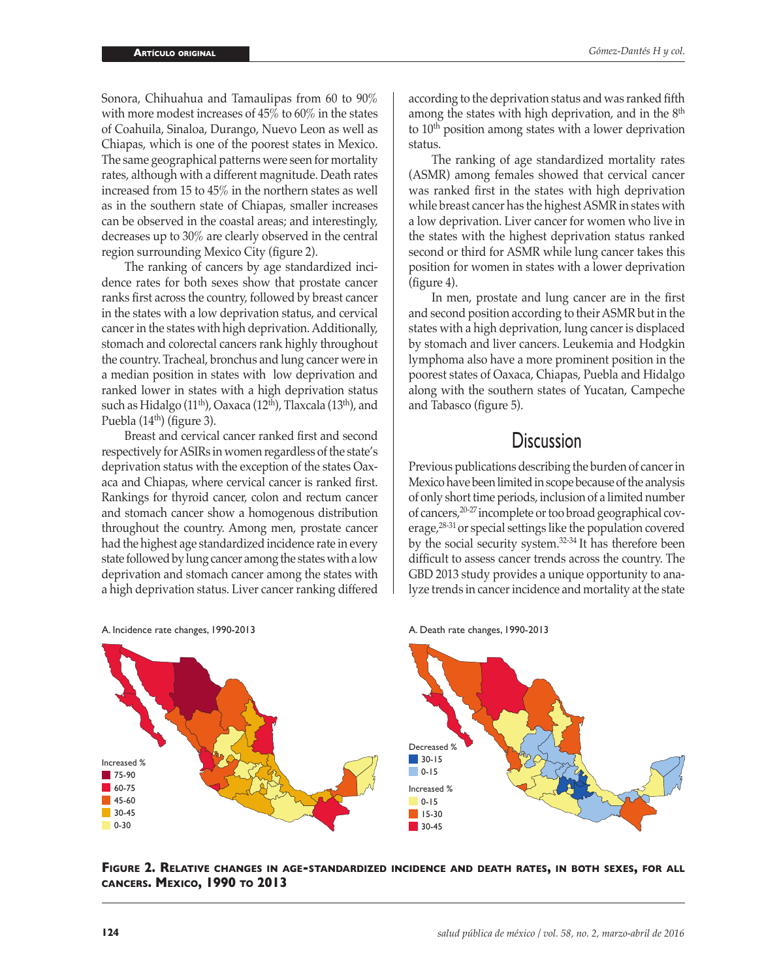Sonora, Chihuahua and Tamaulipas from 60 to 90% with more modest increases of 45% to 60% in the states of Coahuila, Sinaloa, Durango, Nuevo Leon as well as Chiapas, which is one of the poorest states in Mexico. The same geographical patterns were seen for mortality rates, although with a different magnitude. Death rates increased from 15 to 45% in the northern states as well as in the southern state of Chiapas, smaller increases can be observed in the coastal areas; and interestingly, decreases up to 30% are clearly observed in the central region surrounding Mexico City (figure 2).

The ranking of cancers by age standardized incidence rates for both sexes show that prostate cancer ranks first across the country, followed by breast cancer in the states with a low deprivation status, and cervical cancer in the states with high deprivation. Additionally, stomach and colorectal cancers rank highly throughout the country. Tracheal, bronchus and lung cancer were in a median position in states with low deprivation and ranked lower in states with a high deprivation status such as Hidalgo (11<sup>th</sup>), Oaxaca (12<sup>th</sup>), Tlaxcala (13<sup>th</sup>), and Puebla  $(14<sup>th</sup>)$  (figure 3).

Breast and cervical cancer ranked first and second respectively for ASIRs in women regardless of the state's deprivation status with the exception of the states Oaxaca and Chiapas, where cervical cancer is ranked first. Rankings for thyroid cancer, colon and rectum cancer and stomach cancer show a homogenous distribution throughout the country. Among men, prostate cancer had the highest age standardized incidence rate in every state followed by lung cancer among the states with a low deprivation and stomach cancer among the states with a high deprivation status. Liver cancer ranking differed according to the deprivation status and was ranked fifth among the states with high deprivation, and in the  $8<sup>th</sup>$ to  $10<sup>th</sup>$  position among states with a lower deprivation status.

The ranking of age standardized mortality rates (ASMR) among females showed that cervical cancer was ranked first in the states with high deprivation while breast cancer has the highest ASMR in states with a low deprivation. Liver cancer for women who live in the states with the highest deprivation status ranked second or third for ASMR while lung cancer takes this position for women in states with a lower deprivation (figure 4).

In men, prostate and lung cancer are in the first and second position according to their ASMR but in the states with a high deprivation, lung cancer is displaced by stomach and liver cancers. Leukemia and Hodgkin lymphoma also have a more prominent position in the poorest states of Oaxaca, Chiapas, Puebla and Hidalgo along with the southern states of Yucatan, Campeche and Tabasco (figure 5).

# **Discussion**

Previous publications describing the burden of cancer in Mexico have been limited in scope because of the analysis of only short time periods, inclusion of a limited number of cancers,20-27 incomplete or too broad geographical coverage,<sup>28-31</sup> or special settings like the population covered by the social security system.32-34 It has therefore been difficult to assess cancer trends across the country. The GBD 2013 study provides a unique opportunity to analyze trends in cancer incidence and mortality at the state

A. Death rate changes, 1990-2013



A. Incidence rate changes, 1990-2013

**Figure 2. Relative changes in age-standardized incidence and death rates, in both sexes, for all cancers. Mexico, 1990 to 2013**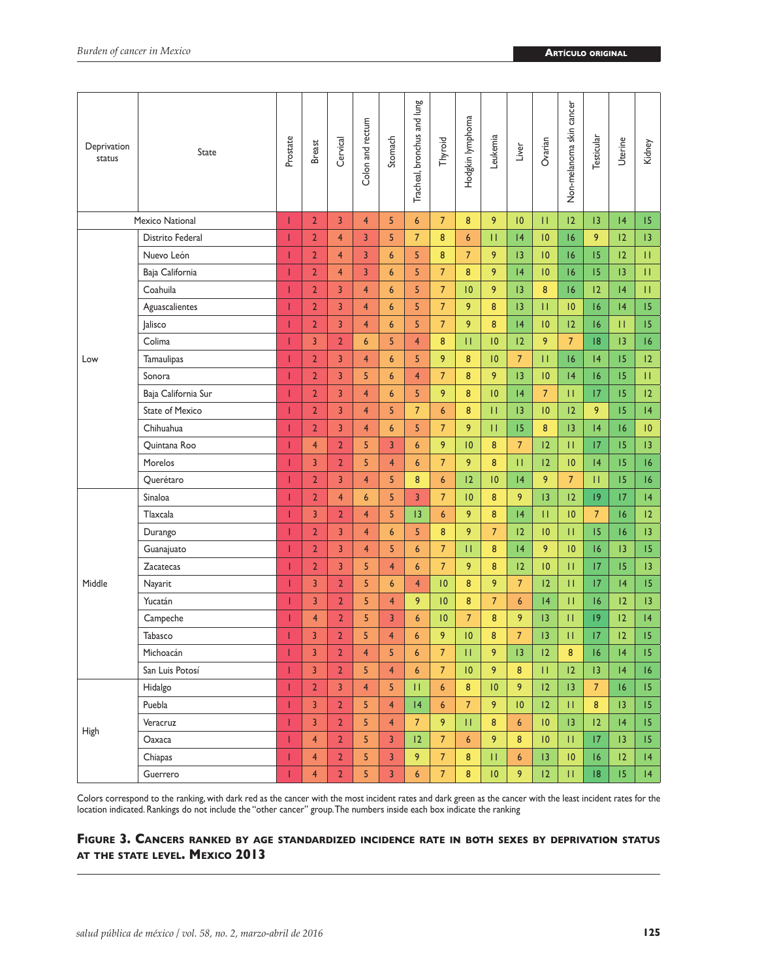| Deprivation<br>status | <b>State</b>           | Prostate | <b>Breast</b>           | Cervical       | Colon and rectum | Stomach        | Tracheal, bronchus and lung | Thyroid          | Hodgkin lymphoma | Leukemia       | Liver            | Ovarian         | Non-melanoma skin cancer | Testicular     | Uterine | Kidney          |
|-----------------------|------------------------|----------|-------------------------|----------------|------------------|----------------|-----------------------------|------------------|------------------|----------------|------------------|-----------------|--------------------------|----------------|---------|-----------------|
|                       | <b>Mexico National</b> | т        | $\overline{2}$          | 3              | $\overline{4}$   | 5              | $6\phantom{1}6$             | 7 <sup>5</sup>   | 8                | 9              | 10               | П               | 12                       | 13             | 4       | 15              |
|                       | Distrito Federal       | Т        | $\overline{2}$          | $\overline{4}$ | 3                | 5              | $\overline{7}$              | 8                | $6\phantom{1}6$  | П              | 4                | 10              | 16                       | 9              | 12      | 13              |
|                       | Nuevo León             | Т        | $\overline{2}$          | $\overline{4}$ | 3                | 6              | 5                           | 8                | $\overline{7}$   | 9              | 13               | 10              | 16                       | 15             | 12      | П               |
|                       | Baja California        | Т        | $\overline{2}$          | $\overline{4}$ | 3                | 6              | 5                           | $\overline{7}$   | 8                | 9              | 4                | 10              | 16                       | 15             | 13      | П.              |
|                       | Coahuila               | T        | $\overline{2}$          | 3              | $\overline{4}$   | 6              | 5                           | $\overline{7}$   | 10               | 9              | 13               | 8               | 16                       | 12             | 4       | П               |
|                       | Aguascalientes         | Т        | $\overline{2}$          | 3              | $\overline{4}$   | 6              | 5                           | $\overline{7}$   | 9                | 8              | 13               | П               | 10                       | 16             | 4       | 15              |
|                       | <b>Jalisco</b>         | T        | $\overline{2}$          | 3              | $\overline{4}$   | 6              | 5                           | $\overline{7}$   | 9                | 8              | 4                | $\overline{10}$ | 12                       | 16             | П       | 15              |
|                       | Colima                 | Т        | 3                       | $\overline{2}$ | 6                | 5              | $\overline{4}$              | 8                | П                | 10             | 12               | 9               | $\overline{7}$           | 8              | 13      | 16              |
| Low                   | <b>Tamaulipas</b>      | T        | $\overline{2}$          | 3              | $\overline{4}$   | 6              | 5                           | 9                | 8                | 10             | $\overline{7}$   | П               | 16                       | 4              | 15      | $ 2\rangle$     |
|                       | Sonora                 | Т        | $\overline{2}$          | $\overline{3}$ | 5                | 6              | $\overline{4}$              | $\overline{7}$   | 8                | 9              | 13               | 10              | 4                        | 16             | 15      | П.              |
|                       | Baja California Sur    | 1        | $\overline{2}$          | 3              | $\overline{4}$   | 6              | 5                           | 9                | 8                | 10             | 4                | $\overline{7}$  | П                        | 17             | 15      | $ 2\rangle$     |
|                       | <b>State of Mexico</b> | Т        | $\overline{2}$          | 3              | $\overline{4}$   | 5              | $\overline{7}$              | 6                | 8                | П              | 13               | 10              | 12                       | 9              | 15      | 4               |
|                       | Chihuahua              | 1        | $\overline{2}$          | $\overline{3}$ | $\overline{4}$   | 6              | 5                           | $\overline{7}$   | 9                | П              | 15               | 8               | 13                       | 4              | 16      | 10              |
|                       | Quintana Roo           | п        | $\overline{4}$          | $\overline{2}$ | 5                | 3              | $6\overline{6}$             | 9                | 10               | 8              | $\overline{7}$   | 12              | П                        | 17             | 15      | 13              |
|                       | Morelos                | Т        | 3                       | $\overline{2}$ | 5                | $\overline{4}$ | $6\overline{6}$             | $\overline{7}$   | 9                | 8              | П                | 12              | $\overline{10}$          | 4              | 15      | 16              |
|                       | Querétaro              | т        | $\overline{2}$          | 3              | $\overline{4}$   | 5              | 8                           | 6                | 12               | 10             | 4                | 9               | $\overline{7}$           | П              | 15      | 16              |
|                       | Sinaloa                | Т        | $\overline{2}$          | $\overline{4}$ | 6                | 5              | $\overline{3}$              | $\overline{7}$   | 10               | 8              | 9                | 13              | 12                       | 9              | 17      | 4               |
|                       | Tlaxcala               | п        | $\overline{3}$          | $\overline{2}$ | $\overline{4}$   | 5              | 13                          | $\boldsymbol{6}$ | 9                | 8              | 4                | П               | 10                       | $\overline{7}$ | 6       | $ 2\rangle$     |
|                       | Durango                |          | $\overline{2}$          | $\overline{3}$ | $\overline{4}$   | 6              | 5                           | 8                | 9                | $\overline{7}$ | 12               | 10              | П                        | 15             | 16      | 3               |
|                       | Guanajuato             |          | $\overline{2}$          | 3              | $\overline{4}$   | 5              | $6\phantom{1}6$             | $\overline{7}$   | П                | 8              | 4                | 9               | 10                       | 16             | 13      | 15              |
|                       | Zacatecas              |          | $\overline{2}$          | 3              | 5                | $\overline{4}$ | $6\overline{6}$             | $\overline{7}$   | 9                | 8              | 12               | 10              | П                        | 17             | 15      | 3               |
| Middle                | Nayarit                |          | 3                       | $\overline{2}$ | 5                | 6              | $\overline{4}$              | 10               | 8                | 9              | $\overline{7}$   | 12              | П                        | 17             | 4       | 15              |
|                       | Yucatán                |          | 3                       | $\overline{2}$ | 5                | $\overline{4}$ | 9                           | 10               | 8                | $\overline{7}$ | 6                | 4               | П                        | 16             | 12      | 3               |
|                       | Campeche               |          | $\overline{4}$          | $\overline{2}$ | 5                | 3              | $\overline{6}$              | 10               | $\overline{7}$   | 8              | 9                | 3               | П                        | 9              | 12      | 4               |
|                       | Tabasco                | T        | 3                       | $\overline{2}$ | 5                | $\overline{4}$ | $6\overline{6}$             | 9                | 10               | 8              | $\overline{7}$   | 3               | П                        | 17             | 12      | 15              |
|                       | Michoacán              | т        | 3                       | $\overline{2}$ | $\overline{4}$   | 5              | $6\overline{6}$             | $\overline{7}$   | П                | 9              | 13               | 12              | 8                        | 16             | 4       | 15              |
|                       | San Luis Potosí        |          | 3                       | $\overline{2}$ | 5                | $\overline{4}$ | $\boldsymbol{6}$            | 7                | 10               | 9              | 8                | П               | 12                       | 13             | 4       | 16              |
|                       | Hidalgo                | Т        | $\overline{2}$          | $\overline{3}$ | $\overline{4}$   | 5              | $\mathbf{H}$                | $6\overline{6}$  | 8                | 10             | 9                | 12              | 13                       | $\overline{7}$ | 16      | 15              |
|                       | Puebla                 | T        | $\overline{3}$          | $\overline{2}$ | 5                | $\overline{4}$ | 4                           | $6\phantom{a}$   | $\overline{7}$   | 9              | 10               | 12              | $\mathbf{H}$             | $\bf 8$        | 13      | 15              |
|                       | Veracruz               | T        | $\overline{3}$          | $\overline{2}$ | 5                | $\overline{4}$ | $\overline{7}$              | 9                | П                | 8              | $6\phantom{a}$   | 10              | 13                       | 12             | 4       | 15              |
| <b>High</b>           | Oaxaca                 | T        | $\overline{4}$          | 2 <sup>1</sup> | 5                | $\overline{3}$ | 12                          | $\overline{7}$   | $\boldsymbol{6}$ | 9              | $\boldsymbol{8}$ | 10              | П                        | 17             | 3       | 15 <sup>2</sup> |
|                       | Chiapas                | T        | $\overline{4}$          | $\overline{2}$ | 5                | $\overline{3}$ | 9                           | 7 <sup>7</sup>   | $\bf 8$          | $\mathbf{H}$   | $\boldsymbol{6}$ | 13              | 10                       | 16             | 2       | 4               |
|                       | Guerrero               | T        | $\overline{\mathbf{4}}$ | $\overline{2}$ | 5                | 3              | $6\phantom{a}$              | $\overline{7}$   | 8                | 10             | 9                | 12              | $\mathbf{H}$             | 8              | 15      | 4               |

Colors correspond to the ranking, with dark red as the cancer with the most incident rates and dark green as the cancer with the least incident rates for the location indicated. Rankings do not include the "other cancer" group. The numbers inside each box indicate the ranking

## **Figure 3. Cancers ranked by age standardized incidence rate in both sexes by deprivation status at the state level. Mexico 2013**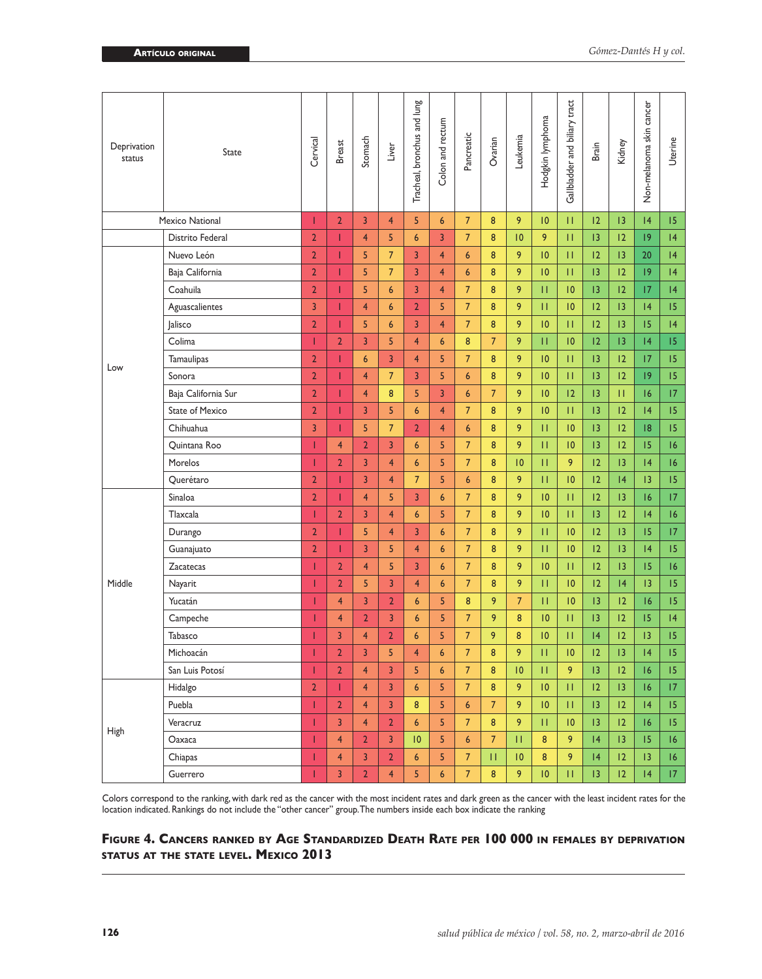| Deprivation<br>status | State                  | Cervical       | <b>Breast</b>  | Stomach        | Liver          | Tracheal, bronchus and lung | Colon and rectum | Pancreatic       | Ovarian        | Leukemia        | Hodgkin lymphoma | Gallbladder and biliary tract | Brain           | Kidney          | Non-melanoma skin cancer | Uterine          |
|-----------------------|------------------------|----------------|----------------|----------------|----------------|-----------------------------|------------------|------------------|----------------|-----------------|------------------|-------------------------------|-----------------|-----------------|--------------------------|------------------|
|                       | Mexico National        | T              | $\overline{2}$ | 3              | $\overline{4}$ | 5                           | $6\overline{6}$  | $\overline{7}$   | 8              | 9               | 10               | П                             | 12              | 3               | 4                        | 15               |
|                       | Distrito Federal       | $\overline{2}$ | Т              | $\overline{4}$ | 5              | $6\overline{6}$             | 3                | $\overline{7}$   | 8              | $ 0\rangle$     | 9                | П                             | 13              | 12              | 9                        | 4                |
|                       | Nuevo León             | $\overline{2}$ | Т              | 5              | $\overline{7}$ | 3                           | $\overline{4}$   | 6                | 8              | 9               | 10               | П                             | 12              | 13              | 20                       | 4                |
|                       | Baja California        | $\overline{2}$ | Т              | 5              | $\overline{7}$ | $\overline{3}$              | $\overline{4}$   | 6                | 8              | 9               | 10               | $\mathbf{H}$                  | 13              | 12              | 9                        | 4                |
|                       | Coahuila               | $\overline{2}$ | T              | 5              | 6              | 3                           | $\overline{4}$   | $\overline{7}$   | 8              | 9               | $\mathbf{H}$     | 10                            | 13              | 12              | 17                       | 4                |
|                       | Aguascalientes         | 3              | Т              | 4              | 6              | $\mathbf{2}$                | 5                | $\overline{7}$   | 8              | 9               | П                | 10                            | 12              | $\overline{13}$ | 4                        | 15               |
|                       | Jalisco                | $\overline{2}$ | T              | 5              | 6              | 3                           | $\overline{4}$   | $\overline{7}$   | 8              | 9               | 10               | П                             | 12              | 3               | 15                       | 4                |
|                       | Colima                 | T              | $\overline{2}$ | 3              | 5              | 4                           | 6                | 8                | $\overline{7}$ | 9               | П                | 10                            | 12              | 13              | 4                        | 15               |
|                       | <b>Tamaulipas</b>      | $\overline{2}$ | T              | 6              | 3              | $\overline{4}$              | 5                | $\overline{7}$   | 8              | 9               | 10               | $\mathbf{H}$                  | 13              | 12              | 17                       | 15               |
| Low                   | Sonora                 | $\overline{2}$ | Т              | $\overline{4}$ | $\overline{7}$ | 3                           | 5                | $\boldsymbol{6}$ | 8              | 9               | 10               | П                             | 3               | 12              | 9                        | 15               |
|                       | Baja California Sur    | $\overline{2}$ | т              | $\overline{4}$ | 8              | 5                           | 3                | 6                | $\overline{7}$ | 9               | 10               | 12                            | 3               | П               | 16                       | 17               |
|                       | <b>State of Mexico</b> | $\overline{2}$ | T              | $\overline{3}$ | 5              | $6\phantom{a}$              | $\overline{4}$   | $\overline{7}$   | 8              | 9               | 10               | $\mathbf{H}$                  | 3               | 12              | 4                        | 15               |
|                       | Chihuahua              | 3              | T              | 5              | $\overline{7}$ | $\overline{2}$              | $\overline{4}$   | $6\overline{6}$  | 8              | 9               | П                | 10                            | 13              | 12              | 8                        | 15               |
|                       | Ouintana Roo           | T              | $\overline{4}$ | $\overline{2}$ | 3              | 6                           | 5                | $\overline{7}$   | 8              | 9               | П                | 10                            | 3               | 12              | 15                       | 16               |
|                       | Morelos                | T              | $\overline{2}$ | 3              | $\overline{4}$ | $6\phantom{1}6$             | 5                | $\overline{7}$   | 8              | 10              | П                | 9                             | 12              | 13              | 4                        | 16               |
|                       | Querétaro              | $\overline{2}$ | T              | $\overline{3}$ | $\overline{4}$ | $\overline{7}$              | 5                | $6\phantom{1}6$  | 8              | 9               | П                | 10                            | 12              | 4               | 13                       | 15               |
|                       | Sinaloa                | $\overline{2}$ | T              | $\overline{4}$ | 5              | 3                           | $6\overline{6}$  | $\overline{7}$   | 8              | 9               | 10               | П                             | 12              | 13              | 16                       | 17               |
|                       | Tlaxcala               | T              | $\overline{2}$ | 3              | $\overline{4}$ | 6                           | 5                | $7\overline{ }$  | 8              | 9               | 10               | П                             | $\overline{13}$ | 12              | 4                        | 16               |
|                       | Durango                | $\overline{2}$ |                | 5              | $\overline{4}$ | 3                           | $6\overline{6}$  | $\overline{7}$   | 8              | 9               | П                | 10                            | 12              | 13              | 15                       | 17               |
|                       | Guanajuato             | $\overline{2}$ | T              | 3              | 5              | $\overline{4}$              | $6\phantom{1}6$  | $\overline{7}$   | 8              | 9               | П                | 10                            | 12              | 13              | 4                        | 15               |
|                       | <b>Zacatecas</b>       | T              | $\overline{2}$ | $\overline{4}$ | 5              | 3                           | $6\phantom{1}6$  | $\overline{7}$   | 8              | 9               | 10               | П                             | 12              | 13              | 15                       | 16               |
| Middle                | Nayarit                | T              | $\overline{2}$ | 5              | 3              | $\overline{4}$              | $\boldsymbol{6}$ | $\overline{7}$   | 8              | 9               | П                | 10                            | 12              | 4               | 3                        | 15               |
|                       | Yucatán                | Т              | $\overline{4}$ | 3              | $\overline{2}$ | 6                           | 5                | 8                | 9              | $\overline{7}$  | П                | 10                            | 13              | 12              | 16                       | 15               |
|                       | Campeche               | 1              | $\overline{4}$ | $\overline{2}$ | 3              | $6\phantom{.}6$             | 5                | $\overline{7}$   | 9              | 8               | 10               | П                             | 13              | 12              | 15                       | 4                |
|                       | Tabasco                | Т              | 3              | $\overline{4}$ | $\overline{2}$ | 6                           | 5                | $\overline{7}$   | 9              | 8               | 10               | П                             | 4               | 12              | 13                       | 15               |
|                       | Michoacán              | T              | $\overline{2}$ | 3              | 5              | $\overline{4}$              | 6                | $\overline{7}$   | 8              | 9               | П                | 10                            | 12              | 3               | 4                        | 15               |
|                       | San Luis Potosí        | 1              | $\overline{2}$ | 4              | 3              | 5                           | 6                | $\overline{7}$   | 8              | $\overline{10}$ | П                | 9                             | $\overline{13}$ | 12              | 16                       | 15               |
|                       | Hidalgo                | $\overline{2}$ | T              | $\overline{4}$ | $\overline{3}$ | $6\phantom{.}6$             | 5                | $\overline{7}$   | 8              | 9               | 10               | $\mathbf{H}$                  | $ 2\rangle$     | 13              | 16                       | 17               |
|                       | Puebla                 | Т              | $\overline{2}$ | $\overline{4}$ | 3              | 8                           | 5                | $\boldsymbol{6}$ | $\overline{7}$ | 9               | 10               | П                             | 13              | 12              | 4                        | 15               |
|                       | Veracruz               | T              | 3              | $\overline{4}$ | $\overline{2}$ | $6\phantom{.}6$             | 5                | 7 <sup>2</sup>   | 8              | 9               | П                | 10                            | 13              | 12              | 16                       | 15 <sub>15</sub> |
| High                  | Oaxaca                 | т              | $\overline{4}$ | $\overline{2}$ | 3              | 10                          | 5                | 6                | $\overline{7}$ | П               | 8                | 9                             | 4               | 13              | 15                       | 16               |
|                       | Chiapas                | T              | $\overline{4}$ | $\overline{3}$ | $\overline{2}$ | 6                           | 5                | $7\overline{ }$  | П              | 10              | 8                | 9                             | 4               | 12              | 13                       | 16               |
|                       | Guerrero               | т              | 3              | $\overline{2}$ | $\overline{4}$ | 5                           | $6\phantom{1}6$  | $\overline{7}$   | 8              | 9               | 10               | П                             | 13              | 12              | 4                        | 17 <sup>2</sup>  |

Colors correspond to the ranking, with dark red as the cancer with the most incident rates and dark green as the cancer with the least incident rates for the location indicated. Rankings do not include the "other cancer" group. The numbers inside each box indicate the ranking

## **Figure 4. Cancers ranked by Age Standardized Death Rate per 100 000 in females by deprivation status at the state level. Mexico 2013**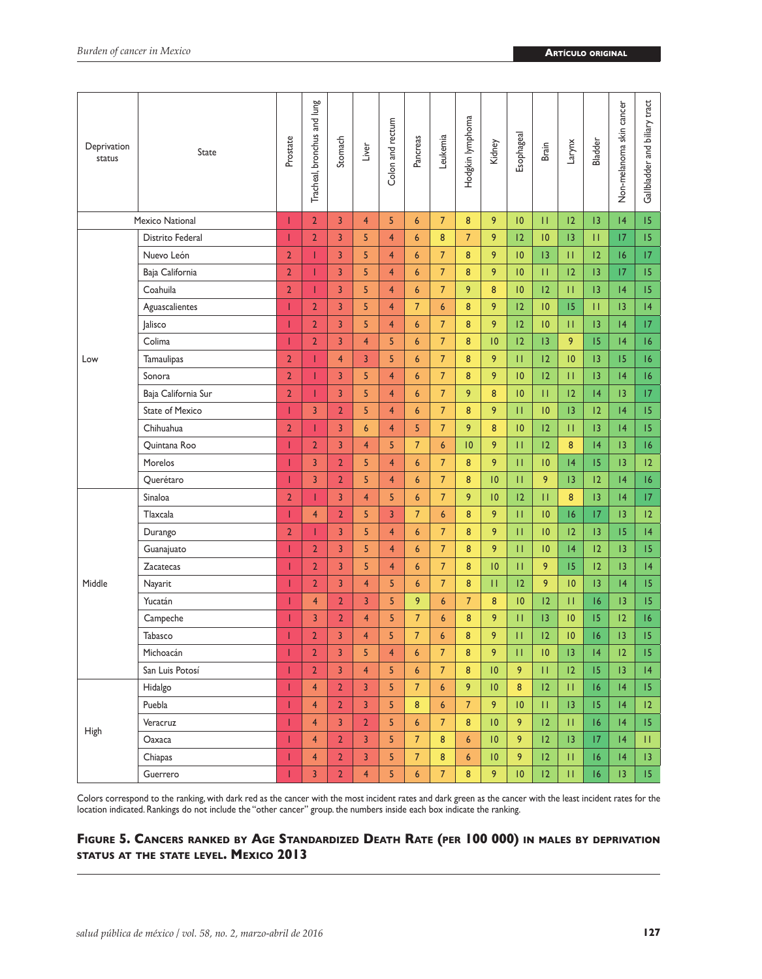| Deprivation<br>status | <b>State</b>           | Prostate       | Tracheal, bronchus and lung | Stomach        | Liver                   | Colon and rectum | Pancreas         | Leukemia        | Hodgkin lymphoma | Kidney          | Esophageal | Brain        | Larynx          | <b>Bladder</b> | Non-melanoma skin cancer | Gallbladder and biliary tract |
|-----------------------|------------------------|----------------|-----------------------------|----------------|-------------------------|------------------|------------------|-----------------|------------------|-----------------|------------|--------------|-----------------|----------------|--------------------------|-------------------------------|
|                       | Mexico National        | Т              | $\overline{2}$              | $\overline{3}$ | $\overline{4}$          | 5                | 6                | 7 <sup>5</sup>  | 8                | 9               | 10         | П            | 12              | 3              | 4                        | 15                            |
|                       | Distrito Federal       | Т              | $\overline{2}$              | $\overline{3}$ | 5                       | $\overline{4}$   | 6                | 8               | $\overline{7}$   | 9               | 12         | 10           | 3               | П              | 17                       | 15                            |
|                       | Nuevo León             | $\overline{2}$ | Т                           | 3              | 5                       | $\overline{4}$   | $6\overline{6}$  | $\overline{7}$  | 8                | 9               | 10         | 13           | П               | 12             | 16                       | 17                            |
|                       | Baja California        | $\overline{2}$ | Т                           | 3              | 5                       | $\overline{4}$   | $6\overline{6}$  | $\overline{7}$  | 8                | 9               | 10         | П            | 12              | 13             | 17                       | 15                            |
|                       | Coahuila               | $\overline{2}$ | T                           | 3              | 5                       | $\overline{4}$   | $6\phantom{1}6$  | $7\overline{ }$ | 9                | 8               | 10         | 12           | П               | 13             | 4                        | 15                            |
|                       | Aguascalientes         | T              | $\overline{2}$              | 3              | 5                       | $\overline{4}$   | $\overline{7}$   | 6               | 8                | 9               | 12         | 10           | 15              | П              | 13                       | 4                             |
|                       | Jalisco                | Т              | $\overline{2}$              | 3              | 5                       | $\overline{4}$   | $\boldsymbol{6}$ | $\overline{7}$  | 8                | 9               | 12         | 10           | П               | 13             | 4                        | 17                            |
|                       | Colima                 | T              | $\overline{2}$              | 3              | $\overline{\mathbf{4}}$ | 5                | $\boldsymbol{6}$ | $\overline{7}$  | 8                | 10              | 12         | 13           | 9               | 15             | 4                        | 16                            |
| Low                   | <b>Tamaulipas</b>      | $\overline{2}$ | т                           | $\overline{4}$ | 3                       | 5                | $6\phantom{1}6$  | $7\overline{ }$ | 8                | 9               | П          | 12           | 10              | 13             | 15                       | 16                            |
|                       | Sonora                 | $\overline{2}$ | T                           | 3              | 5                       | $\overline{4}$   | $6\phantom{1}6$  | $\overline{7}$  | 8                | 9               | 10         | 12           | П               | 13             | 4                        | 16                            |
|                       | Baja California Sur    | $\overline{2}$ | п                           | 3              | 5                       | $\overline{4}$   | $\boldsymbol{6}$ | $7\overline{ }$ | 9                | 8               | 10         | П            | 12              | 4              | 13                       | 17                            |
|                       | <b>State of Mexico</b> | т              | 3                           | $\overline{2}$ | 5                       | $\overline{4}$   | $6\overline{6}$  | $7\overline{ }$ | 8                | 9               | П          | 10           | 13              | 12             | 4                        | 15                            |
|                       | Chihuahua              | $\overline{2}$ | Т                           | 3              | $6\phantom{a}$          | $\overline{4}$   | 5                | $\overline{7}$  | 9                | 8               | 10         | 12           | П               | 13             | 4                        | 15                            |
|                       | Quintana Roo           | Т              | $\overline{2}$              | 3              | $\overline{4}$          | 5                | $\overline{7}$   | $6\overline{6}$ | 10               | 9               | П          | 12           | 8               | 4              | 13                       | 16                            |
|                       | Morelos                | Т              | 3                           | $\overline{2}$ | 5                       | $\overline{4}$   | $\boldsymbol{6}$ | $\overline{7}$  | 8                | 9               | П          | 10           | 4               | 15             | 13                       | $ 2\rangle$                   |
|                       | Querétaro              | т              | 3                           | $\overline{2}$ | 5                       | $\overline{4}$   | $6\phantom{1}6$  | $\overline{7}$  | 8                | 10              | П          | 9            | 13              | 12             | 4                        | 16                            |
|                       | Sinaloa                | $\overline{2}$ | T                           | $\overline{3}$ | $\overline{4}$          | 5                | $6\overline{6}$  | $\overline{7}$  | 9                | 10              | 12         | $\mathbf{H}$ | 8               | 13             | 4                        | 17                            |
|                       | Tlaxcala               | п              | $\overline{4}$              | $\overline{2}$ | 5                       | $\overline{3}$   | $\overline{7}$   | $6\phantom{1}6$ | 8                | 9               | П          | 10           | 16              | 17             | 13                       | $ 2\rangle$                   |
|                       | Durango                | $\overline{2}$ | П                           | 3              | 5                       | $\overline{4}$   | $6\overline{6}$  | $\overline{7}$  | 8                | 9               | П          | 10           | 12              | 13             | 15                       | 4                             |
|                       | Guanajuato             |                | $\overline{2}$              | 3              | 5                       | $\overline{4}$   | $6\overline{6}$  | 7 <sup>5</sup>  | 8                | 9               | П          | 10           | 4               | 12             | 13                       | 15                            |
|                       | Zacatecas              | Т              | $\overline{2}$              | 3              | 5                       | $\overline{4}$   | $6\overline{6}$  | $\overline{7}$  | 8                | 10              | П          | 9            | 15              | 12             | 13                       | 4                             |
| Middle                | Nayarit                |                | $\overline{2}$              | 3              | $\overline{4}$          | 5                | $6\overline{6}$  | $\overline{7}$  | 8                | П               | 12         | 9            | 10              | 13             | 4                        | 15                            |
|                       | Yucatán                |                | $\overline{4}$              | $\overline{2}$ | 3                       | 5                | 9                | 6               | $\overline{7}$   | 8               | 10         | 12           | П               | 16             | 13                       | 15                            |
|                       | Campeche               | п              | 3                           | $\overline{2}$ | $\overline{4}$          | 5                | $\overline{7}$   | 6               | 8                | 9               | П          | 3            | 10              | 15             | 12                       | 16                            |
|                       | Tabasco                | Т              | $\overline{2}$              | 3              | $\overline{4}$          | 5                | $\overline{7}$   | $6\phantom{1}$  | 8                | 9               | П          | 12           | 10              | 16             | 13                       | 15                            |
|                       | Michoacán              | т              | $\overline{2}$              | 3              | 5                       | $\overline{4}$   | 6                | $\overline{7}$  | 8                | 9               | П          | 10           | $\overline{13}$ | 4              | 12                       | 15                            |
|                       | San Luis Potosí        |                | $\overline{2}$              | 3              | 4                       | 5                | $\boldsymbol{6}$ | 7               | 8                | $\overline{10}$ | 9          | П            | $ 2\rangle$     | 15             | $\overline{13}$          | 4                             |
|                       | Hidalgo                | Т              | $\overline{4}$              | $\overline{2}$ | 3                       | 5                | $7\overline{ }$  | $\epsilon$      | 9                | 10              | 8          | $ 2\rangle$  | П               | 16             | 4                        | 15                            |
|                       | Puebla                 | T              | $\overline{4}$              | $\overline{2}$ | $\overline{\mathbf{3}}$ | 5                | 8                | $6\phantom{a}$  | $\overline{7}$   | 9               | 10         | $\mathbf{H}$ | 13              | 15             | 4                        | $ 2\rangle$                   |
|                       | Veracruz               | Т              | $\overline{4}$              | 3              | 2 <sup>2</sup>          | 5                | $6\phantom{1}$   | 7 <sup>2</sup>  | 8                | 10 <sup>°</sup> | 9          | 12           | П               | 16             | 4                        | 15                            |
| <b>High</b>           | Oaxaca                 | Т              | $\overline{4}$              | $\overline{2}$ | 3                       | 5                | $\overline{7}$   | 8               | $6\phantom{1}6$  | 10 <sup>°</sup> | 9          | 12           | 13              | 17             | 4                        | П.                            |
|                       | Chiapas                | Т              | $\overline{4}$              | $\overline{2}$ | 3                       | 5                | $\overline{7}$   | $\bf 8$         | $\boldsymbol{6}$ | 10              | 9          | 12           | П               | 16             | 4                        | 3                             |
|                       | Guerrero               | Т              | 3                           | $\overline{2}$ | $\overline{4}$          | 5                | $6\phantom{a}$   | $\overline{7}$  | 8                | 9               | 10         | 12           | П               | 16             | 13                       | 15 <sup>2</sup>               |

Colors correspond to the ranking, with dark red as the cancer with the most incident rates and dark green as the cancer with the least incident rates for the location indicated. Rankings do not include the "other cancer" group. the numbers inside each box indicate the ranking.

## **Figure 5. Cancers ranked by Age Standardized Death Rate (per 100 000) in males by deprivation status at the state level. Mexico 2013**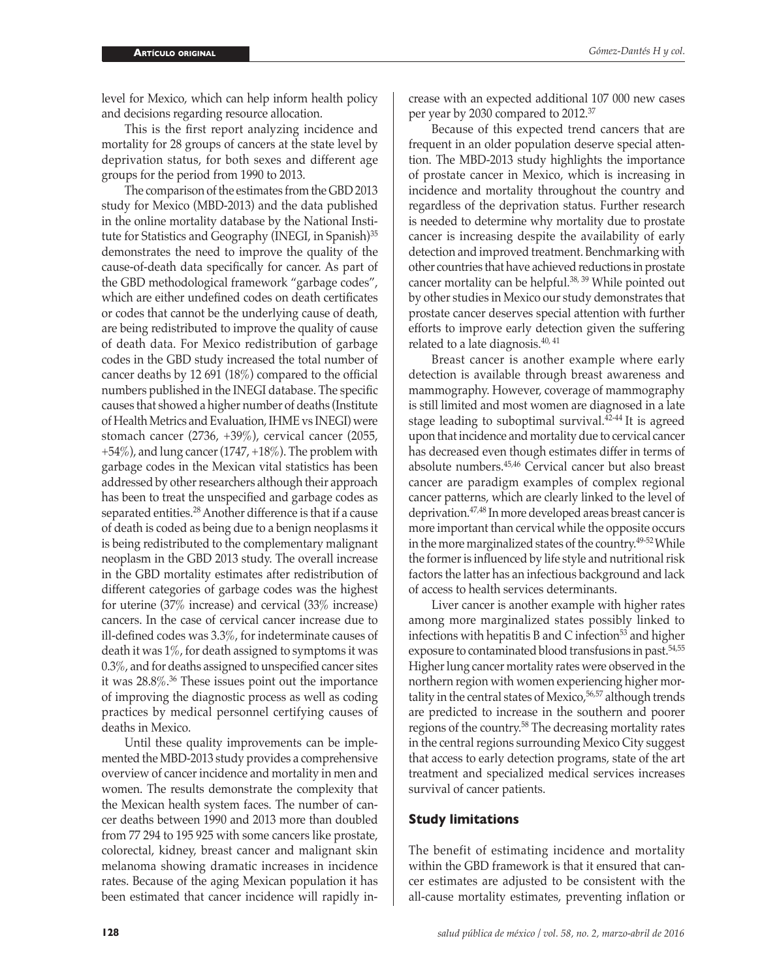level for Mexico, which can help inform health policy and decisions regarding resource allocation.

This is the first report analyzing incidence and mortality for 28 groups of cancers at the state level by deprivation status, for both sexes and different age groups for the period from 1990 to 2013.

The comparison of the estimates from the GBD 2013 study for Mexico (MBD-2013) and the data published in the online mortality database by the National Institute for Statistics and Geography (INEGI, in Spanish)<sup>35</sup> demonstrates the need to improve the quality of the cause-of-death data specifically for cancer. As part of the GBD methodological framework "garbage codes", which are either undefined codes on death certificates or codes that cannot be the underlying cause of death, are being redistributed to improve the quality of cause of death data. For Mexico redistribution of garbage codes in the GBD study increased the total number of cancer deaths by 12 691 (18%) compared to the official numbers published in the INEGI database. The specific causes that showed a higher number of deaths (Institute of Health Metrics and Evaluation, IHME vs INEGI) were stomach cancer (2736, +39%), cervical cancer (2055,  $+54\%$ ), and lung cancer (1747,  $+18\%$ ). The problem with garbage codes in the Mexican vital statistics has been addressed by other researchers although their approach has been to treat the unspecified and garbage codes as separated entities.<sup>28</sup> Another difference is that if a cause of death is coded as being due to a benign neoplasms it is being redistributed to the complementary malignant neoplasm in the GBD 2013 study. The overall increase in the GBD mortality estimates after redistribution of different categories of garbage codes was the highest for uterine (37% increase) and cervical (33% increase) cancers. In the case of cervical cancer increase due to ill-defined codes was 3.3%, for indeterminate causes of death it was 1%, for death assigned to symptoms it was 0.3%, and for deaths assigned to unspecified cancer sites it was 28.8%.36 These issues point out the importance of improving the diagnostic process as well as coding practices by medical personnel certifying causes of deaths in Mexico.

Until these quality improvements can be implemented the MBD-2013 study provides a comprehensive overview of cancer incidence and mortality in men and women. The results demonstrate the complexity that the Mexican health system faces. The number of cancer deaths between 1990 and 2013 more than doubled from 77 294 to 195 925 with some cancers like prostate, colorectal, kidney, breast cancer and malignant skin melanoma showing dramatic increases in incidence rates. Because of the aging Mexican population it has been estimated that cancer incidence will rapidly increase with an expected additional 107 000 new cases per year by 2030 compared to 2012.37

Because of this expected trend cancers that are frequent in an older population deserve special attention. The MBD-2013 study highlights the importance of prostate cancer in Mexico, which is increasing in incidence and mortality throughout the country and regardless of the deprivation status. Further research is needed to determine why mortality due to prostate cancer is increasing despite the availability of early detection and improved treatment. Benchmarking with other countries that have achieved reductions in prostate cancer mortality can be helpful.<sup>38, 39</sup> While pointed out by other studies in Mexico our study demonstrates that prostate cancer deserves special attention with further efforts to improve early detection given the suffering related to a late diagnosis. $40, 41$ 

Breast cancer is another example where early detection is available through breast awareness and mammography. However, coverage of mammography is still limited and most women are diagnosed in a late stage leading to suboptimal survival. $42-44$  It is agreed upon that incidence and mortality due to cervical cancer has decreased even though estimates differ in terms of absolute numbers.45,46 Cervical cancer but also breast cancer are paradigm examples of complex regional cancer patterns, which are clearly linked to the level of deprivation.47,48 In more developed areas breast cancer is more important than cervical while the opposite occurs in the more marginalized states of the country.<sup>49-52</sup> While the former is influenced by life style and nutritional risk factors the latter has an infectious background and lack of access to health services determinants.

Liver cancer is another example with higher rates among more marginalized states possibly linked to infections with hepatitis B and C infection $53$  and higher exposure to contaminated blood transfusions in past.<sup>54,55</sup> Higher lung cancer mortality rates were observed in the northern region with women experiencing higher mortality in the central states of Mexico,<sup>56,57</sup> although trends are predicted to increase in the southern and poorer regions of the country.58 The decreasing mortality rates in the central regions surrounding Mexico City suggest that access to early detection programs, state of the art treatment and specialized medical services increases survival of cancer patients.

### **Study limitations**

The benefit of estimating incidence and mortality within the GBD framework is that it ensured that cancer estimates are adjusted to be consistent with the all-cause mortality estimates, preventing inflation or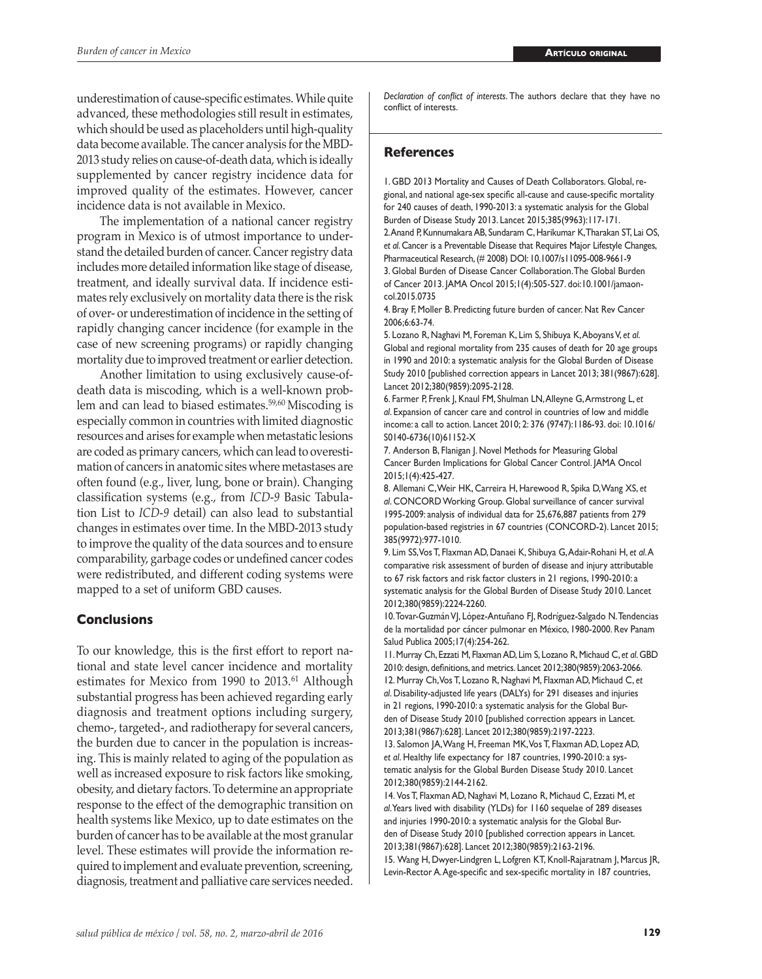underestimation of cause-specific estimates. While quite advanced, these methodologies still result in estimates, which should be used as placeholders until high-quality data become available. The cancer analysis for the MBD-2013 study relies on cause-of-death data, which is ideally supplemented by cancer registry incidence data for improved quality of the estimates. However, cancer incidence data is not available in Mexico.

The implementation of a national cancer registry program in Mexico is of utmost importance to understand the detailed burden of cancer. Cancer registry data includes more detailed information like stage of disease, treatment, and ideally survival data. If incidence estimates rely exclusively on mortality data there is the risk of over- or underestimation of incidence in the setting of rapidly changing cancer incidence (for example in the case of new screening programs) or rapidly changing mortality due to improved treatment or earlier detection.

Another limitation to using exclusively cause-ofdeath data is miscoding, which is a well-known problem and can lead to biased estimates.59,60 Miscoding is especially common in countries with limited diagnostic resources and arises for example when metastatic lesions are coded as primary cancers, which can lead to overestimation of cancers in anatomic sites where metastases are often found (e.g., liver, lung, bone or brain). Changing classification systems (e.g., from *ICD-9* Basic Tabulation List to *ICD-9* detail) can also lead to substantial changes in estimates over time. In the MBD-2013 study to improve the quality of the data sources and to ensure comparability, garbage codes or undefined cancer codes were redistributed, and different coding systems were mapped to a set of uniform GBD causes.

## **Conclusions**

To our knowledge, this is the first effort to report national and state level cancer incidence and mortality estimates for Mexico from 1990 to 2013.<sup>61</sup> Although substantial progress has been achieved regarding early diagnosis and treatment options including surgery, chemo-, targeted-, and radiotherapy for several cancers, the burden due to cancer in the population is increasing. This is mainly related to aging of the population as well as increased exposure to risk factors like smoking, obesity, and dietary factors. To determine an appropriate response to the effect of the demographic transition on health systems like Mexico, up to date estimates on the burden of cancer has to be available at the most granular level. These estimates will provide the information required to implement and evaluate prevention, screening, diagnosis, treatment and palliative care services needed.

*Declaration of conflict of interests*. The authors declare that they have no conflict of interests.

## **References**

1. GBD 2013 Mortality and Causes of Death Collaborators. Global, regional, and national age-sex specific all-cause and cause-specific mortality for 240 causes of death, 1990-2013: a systematic analysis for the Global Burden of Disease Study 2013. Lancet 2015;385(9963):117-171. 2. Anand P, Kunnumakara AB, Sundaram C, Harikumar K, Tharakan ST, Lai OS, *et al*. Cancer is a Preventable Disease that Requires Major Lifestyle Changes, Pharmaceutical Research, (# 2008) DOI: 10.1007/s11095-008-9661-9 3. Global Burden of Disease Cancer Collaboration. The Global Burden of Cancer 2013. JAMA Oncol 2015;1(4):505-527. doi:10.1001/jamaoncol.2015.0735

4. Bray F, Moller B. Predicting future burden of cancer. Nat Rev Cancer 2006;6:63-74.

5. Lozano R, Naghavi M, Foreman K, Lim S, Shibuya K, Aboyans V, *et al*. Global and regional mortality from 235 causes of death for 20 age groups in 1990 and 2010: a systematic analysis for the Global Burden of Disease Study 2010 [published correction appears in Lancet 2013; 381(9867):628]. Lancet 2012;380(9859):2095-2128.

6. Farmer P, Frenk J, Knaul FM, Shulman LN,Alleyne G,Armstrong L, *et al*. Expansion of cancer care and control in countries of low and middle income: a call to action. Lancet 2010; 2: 376 (9747):1186-93. doi: 10.1016/ S0140-6736(10)61152-X

7. Anderson B, Flanigan J. Novel Methods for Measuring Global Cancer Burden Implications for Global Cancer Control. JAMA Oncol 2015;1(4):425-427.

8. Allemani C, Weir HK, Carreira H, Harewood R, Spika D, Wang XS, *et al*. CONCORD Working Group. Global surveillance of cancer survival 1995-2009: analysis of individual data for 25,676,887 patients from 279 population-based registries in 67 countries (CONCORD-2). Lancet 2015; 385(9972):977-1010.

9. Lim SS, Vos T, Flaxman AD, Danaei K, Shibuya G, Adair-Rohani H, *et al*. A comparative risk assessment of burden of disease and injury attributable to 67 risk factors and risk factor clusters in 21 regions, 1990-2010: a systematic analysis for the Global Burden of Disease Study 2010. Lancet 2012;380(9859):2224-2260.

10. Tovar-Guzmán VJ, López-Antuñano FJ, Rodríguez-Salgado N. Tendencias de la mortalidad por cáncer pulmonar en México, 1980-2000. Rev Panam Salud Publica 2005;17(4):254-262.

11. Murray Ch, Ezzati M, Flaxman AD, Lim S, Lozano R, Michaud C, *et al*. GBD 2010: design, definitions, and metrics. Lancet 2012;380(9859):2063-2066. 12. Murray Ch, Vos T, Lozano R, Naghavi M, Flaxman AD, Michaud C, *et al*. Disability-adjusted life years (DALYs) for 291 diseases and injuries in 21 regions, 1990-2010: a systematic analysis for the Global Burden of Disease Study 2010 [published correction appears in Lancet. 2013;381(9867):628]. Lancet 2012;380(9859):2197-2223.

13. Salomon JA, Wang H, Freeman MK, Vos T, Flaxman AD, Lopez AD, *et al*. Healthy life expectancy for 187 countries, 1990-2010: a systematic analysis for the Global Burden Disease Study 2010. Lancet 2012;380(9859):2144-2162.

14. Vos T, Flaxman AD, Naghavi M, Lozano R, Michaud C, Ezzati M, *et al*.Years lived with disability (YLDs) for 1160 sequelae of 289 diseases and injuries 1990-2010: a systematic analysis for the Global Burden of Disease Study 2010 [published correction appears in Lancet. 2013;381(9867):628]. Lancet 2012;380(9859):2163-2196.

15. Wang H, Dwyer-Lindgren L, Lofgren KT, Knoll-Rajaratnam J, Marcus JR, Levin-Rector A. Age-specific and sex-specific mortality in 187 countries,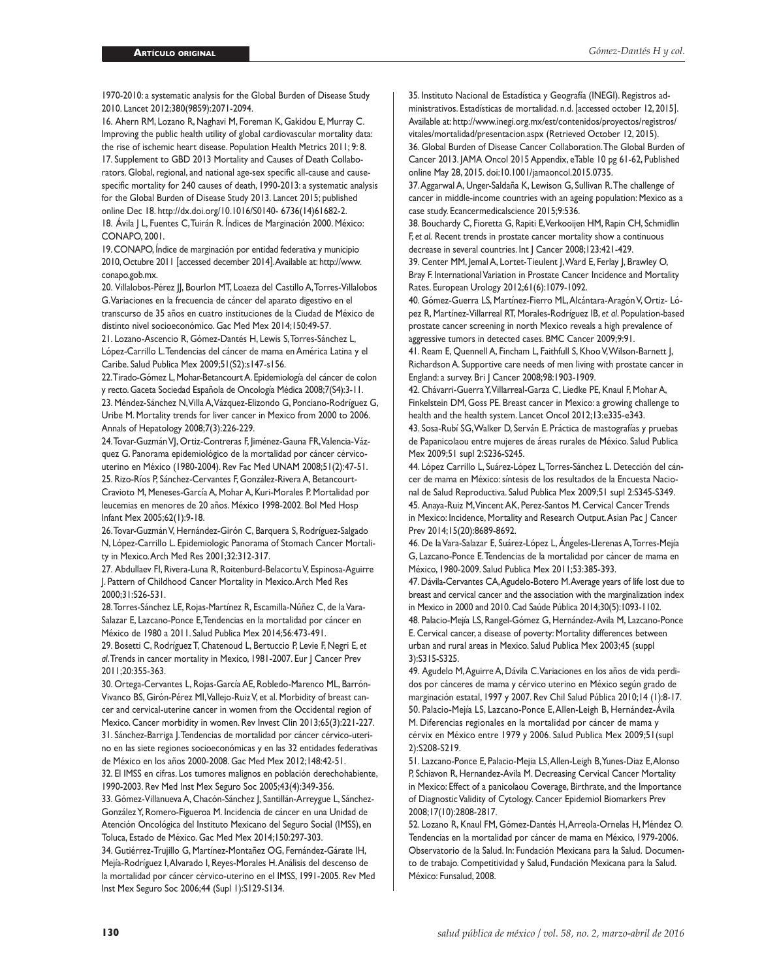1970-2010: a systematic analysis for the Global Burden of Disease Study 2010. Lancet 2012;380(9859):2071-2094.

16. Ahern RM, Lozano R, Naghavi M, Foreman K, Gakidou E, Murray C. Improving the public health utility of global cardiovascular mortality data: the rise of ischemic heart disease. Population Health Metrics 2011; 9: 8. 17. Supplement to GBD 2013 Mortality and Causes of Death Collaborators. Global, regional, and national age-sex specific all-cause and causespecific mortality for 240 causes of death, 1990-2013: a systematic analysis for the Global Burden of Disease Study 2013. Lancet 2015; published online Dec 18. http://dx.doi.org/10.1016/S0140- 6736(14)61682-2.

18. Ávila J L, Fuentes C, Tuirán R. Índices de Marginación 2000. México: CONAPO, 2001.

19. CONAPO, Índice de marginación por entidad federativa y municipio 2010, Octubre 2011 [accessed december 2014]. Available at: http://www. conapo.gob.mx.

20. Villalobos-Pérez JJ, Bourlon MT, Loaeza del Castillo A, Torres-Villalobos G. Variaciones en la frecuencia de cáncer del aparato digestivo en el transcurso de 35 años en cuatro instituciones de la Ciudad de México de distinto nivel socioeconómico. Gac Med Mex 2014;150:49-57.

21. Lozano-Ascencio R, Gómez-Dantés H, Lewis S, Torres-Sánchez L, López-Carrillo L. Tendencias del cáncer de mama en América Latina y el Caribe. Salud Publica Mex 2009;51(S2):s147-s156.

22. Tirado-Gómez L, Mohar-Betancourt A. Epidemiología del cáncer de colon y recto. Gaceta Sociedad Española de Oncología Médica 2008;7(S4):3-11. 23. Méndez-Sánchez N, Villa A, Vázquez-Elizondo G, Ponciano-Rodríguez G, Uribe M. Mortality trends for liver cancer in Mexico from 2000 to 2006. Annals of Hepatology 2008;7(3):226-229.

24. Tovar-Guzmán VJ, Ortiz-Contreras F, Jiménez-Gauna FR, Valencia-Vázquez G. Panorama epidemiológico de la mortalidad por cáncer cérvicouterino en México (1980-2004). Rev Fac Med UNAM 2008;51(2):47-51. 25. Rizo-Ríos P, Sánchez-Cervantes F, González-Rivera A, Betancourt-Cravioto M, Meneses-García A, Mohar A, Kuri-Morales P. Mortalidad por leucemias en menores de 20 años. México 1998-2002. Bol Med Hosp Infant Mex 2005;62(1):9-18.

26. Tovar-Guzmán V, Hernández-Girón C, Barquera S, Rodríguez-Salgado N, López-Carrillo L. Epidemiologic Panorama of Stomach Cancer Mortality in Mexico. Arch Med Res 2001;32:312-317.

27. Abdullaev FI, Rivera-Luna R, Roitenburd-Belacortu V, Espinosa-Aguirre J. Pattern of Childhood Cancer Mortality in Mexico. Arch Med Res 2000;31:526-531.

28. Torres-Sánchez LE, Rojas-Martínez R, Escamilla-Núñez C, de la Vara-Salazar E, Lazcano-Ponce E, Tendencias en la mortalidad por cáncer en México de 1980 a 2011. Salud Publica Mex 2014;56:473-491.

29. Bosetti C, Rodríguez T, Chatenoud L, Bertuccio P, Levie F, Negri E, *et al*. Trends in cancer mortality in Mexico, 1981-2007. Eur J Cancer Prev 2011;20:355-363.

30. Ortega-Cervantes L, Rojas-García AE, Robledo-Marenco ML, Barrón-Vivanco BS, Girón-Pérez MI, Vallejo-Ruiz V, et al. Morbidity of breast cancer and cervical-uterine cancer in women from the Occidental region of Mexico. Cancer morbidity in women. Rev Invest Clin 2013;65(3):221-227. 31. Sánchez-Barriga J. Tendencias de mortalidad por cáncer cérvico-uteri-

no en las siete regiones socioeconómicas y en las 32 entidades federativas de México en los años 2000-2008. Gac Med Mex 2012;148:42-51.

32. El IMSS en cifras. Los tumores malignos en población derechohabiente, 1990-2003. Rev Med Inst Mex Seguro Soc 2005;43(4):349-356.

33. Gómez-Villanueva A, Chacón-Sánchez J, Santillán-Arreygue L, Sánchez-González Y, Romero-Figueroa M. Incidencia de cáncer en una Unidad de Atención Oncológica del Instituto Mexicano del Seguro Social (IMSS), en Toluca, Estado de México. Gac Med Mex 2014;150:297-303.

34. Gutiérrez-Trujillo G, Martínez-Montañez OG, Fernández-Gárate IH, Mejía-Rodríguez I, Alvarado I, Reyes-Morales H. Análisis del descenso de la mortalidad por cáncer cérvico-uterino en el IMSS, 1991-2005. Rev Med Inst Mex Seguro Soc 2006;44 (Supl 1):S129-S134.

35. Instituto Nacional de Estadística y Geografía (INEGI). Registros administrativos. Estadísticas de mortalidad. n.d. [accessed october 12, 2015]. Available at: http://www.inegi.org.mx/est/contenidos/proyectos/registros/ vitales/mortalidad/presentacion.aspx (Retrieved October 12, 2015). 36. Global Burden of Disease Cancer Collaboration. The Global Burden of Cancer 2013. JAMA Oncol 2015 Appendix, eTable 10 pg 61-62, Published online May 28, 2015. doi:10.1001/jamaoncol.2015.0735.

37. Aggarwal A, Unger-Saldaña K, Lewison G, Sullivan R. The challenge of cancer in middle-income countries with an ageing population: Mexico as a case study. Ecancermedicalscience 2015;9:536.

38. Bouchardy C, Fioretta G, Rapiti E, Verkooijen HM, Rapin CH, Schmidlin F, *et al*. Recent trends in prostate cancer mortality show a continuous decrease in several countries. Int J Cancer 2008;123:421-429.

39. Center MM, Jemal A, Lortet-Tieulent J, Ward E, Ferlay J, Brawley O, Bray F. International Variation in Prostate Cancer Incidence and Mortality Rates. European Urology 2012;61(6):1079-1092.

40. Gómez-Guerra LS, Martínez-Fierro ML, Alcántara-Aragón V, Ortiz- López R, Martínez-Villarreal RT, Morales-Rodríguez IB, *et al*. Population-based prostate cancer screening in north Mexico reveals a high prevalence of aggressive tumors in detected cases. BMC Cancer 2009;9:91.

41. Ream E, Quennell A, Fincham L, Faithfull S, Khoo V, Wilson-Barnett J, Richardson A. Supportive care needs of men living with prostate cancer in England: a survey. Bri J Cancer 2008;98:1903-1909.

42. Chávarri-Guerra Y, Villarreal-Garza C, Liedke PE, Knaul F, Mohar A, Finkelstein DM, Goss PE. Breast cancer in Mexico: a growing challenge to health and the health system. Lancet Oncol 2012;13:e335-e343.

43. Sosa-Rubí SG, Walker D, Serván E. Práctica de mastografías y pruebas de Papanicolaou entre mujeres de áreas rurales de México. Salud Publica Mex 2009;51 supl 2:S236-S245.

44. López Carrillo L, Suárez-López L, Torres-Sánchez L. Detección del cáncer de mama en México: síntesis de los resultados de la Encuesta Nacional de Salud Reproductiva. Salud Publica Mex 2009;51 supl 2:S345-S349. 45. Anaya-Ruiz M, Vincent AK, Perez-Santos M. Cervical Cancer Trends in Mexico: Incidence, Mortality and Research Output. Asian Pac J Cancer Prev 2014;15(20):8689-8692.

46. De la Vara-Salazar E, Suárez-López L, Ángeles-Llerenas A, Torres-Mejía G, Lazcano-Ponce E. Tendencias de la mortalidad por cáncer de mama en México, 1980-2009. Salud Publica Mex 2011;53:385-393.

47. Dávila-Cervantes CA, Agudelo-Botero M. Average years of life lost due to breast and cervical cancer and the association with the marginalization index in Mexico in 2000 and 2010. Cad Saúde Pública 2014;30(5):1093-1102. 48. Palacio-Mejía LS, Rangel-Gómez G, Hernández-Avila M, Lazcano-Ponce E. Cervical cancer, a disease of poverty: Mortality differences between urban and rural areas in Mexico. Salud Publica Mex 2003;45 (suppl 3):S315-S325.

49. Agudelo M, Aguirre A, Dávila C. Variaciones en los años de vida perdidos por cánceres de mama y cérvico uterino en México según grado de marginación estatal, 1997 y 2007. Rev Chil Salud Pública 2010;14 (1):8-17. 50. Palacio-Mejía LS, Lazcano-Ponce E, Allen-Leigh B, Hernández-Ávila M. Diferencias regionales en la mortalidad por cáncer de mama y cérvix en México entre 1979 y 2006. Salud Publica Mex 2009;51(supl 2):S208-S219.

51. Lazcano-Ponce E, Palacio-Mejia LS, Allen-Leigh B, Yunes-Diaz E, Alonso P, Schiavon R, Hernandez-Avila M. Decreasing Cervical Cancer Mortality in Mexico: Effect of a panicolaou Coverage, Birthrate, and the Importance of Diagnostic Validity of Cytology. Cancer Epidemiol Biomarkers Prev 2008;17(10):2808-2817.

52. Lozano R, Knaul FM, Gómez-Dantés H, Arreola-Ornelas H, Méndez O. Tendencias en la mortalidad por cáncer de mama en México, 1979-2006. Observatorio de la Salud. In: Fundación Mexicana para la Salud. Documento de trabajo. Competitividad y Salud, Fundación Mexicana para la Salud. México: Funsalud, 2008.